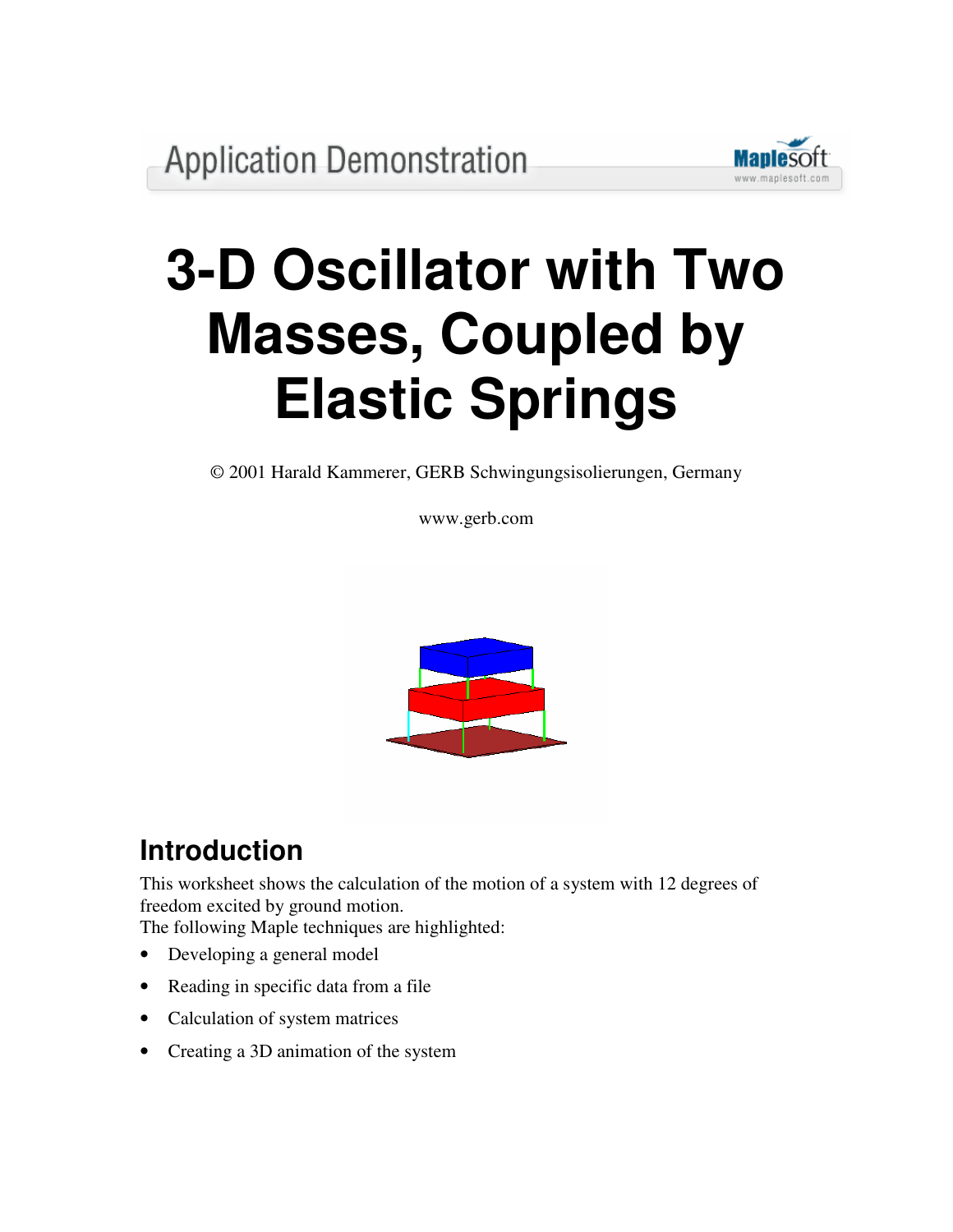

# **3-D Oscillator with Two Masses, Coupled by Elastic Springs**

© 2001 Harald Kammerer, GERB Schwingungsisolierungen, Germany

www.gerb.com



# **Introduction**

This worksheet shows the calculation of the motion of a system with 12 degrees of freedom excited by ground motion.

The following Maple techniques are highlighted:

- Developing a general model
- Reading in specific data from a file
- Calculation of system matrices
- Creating a 3D animation of the system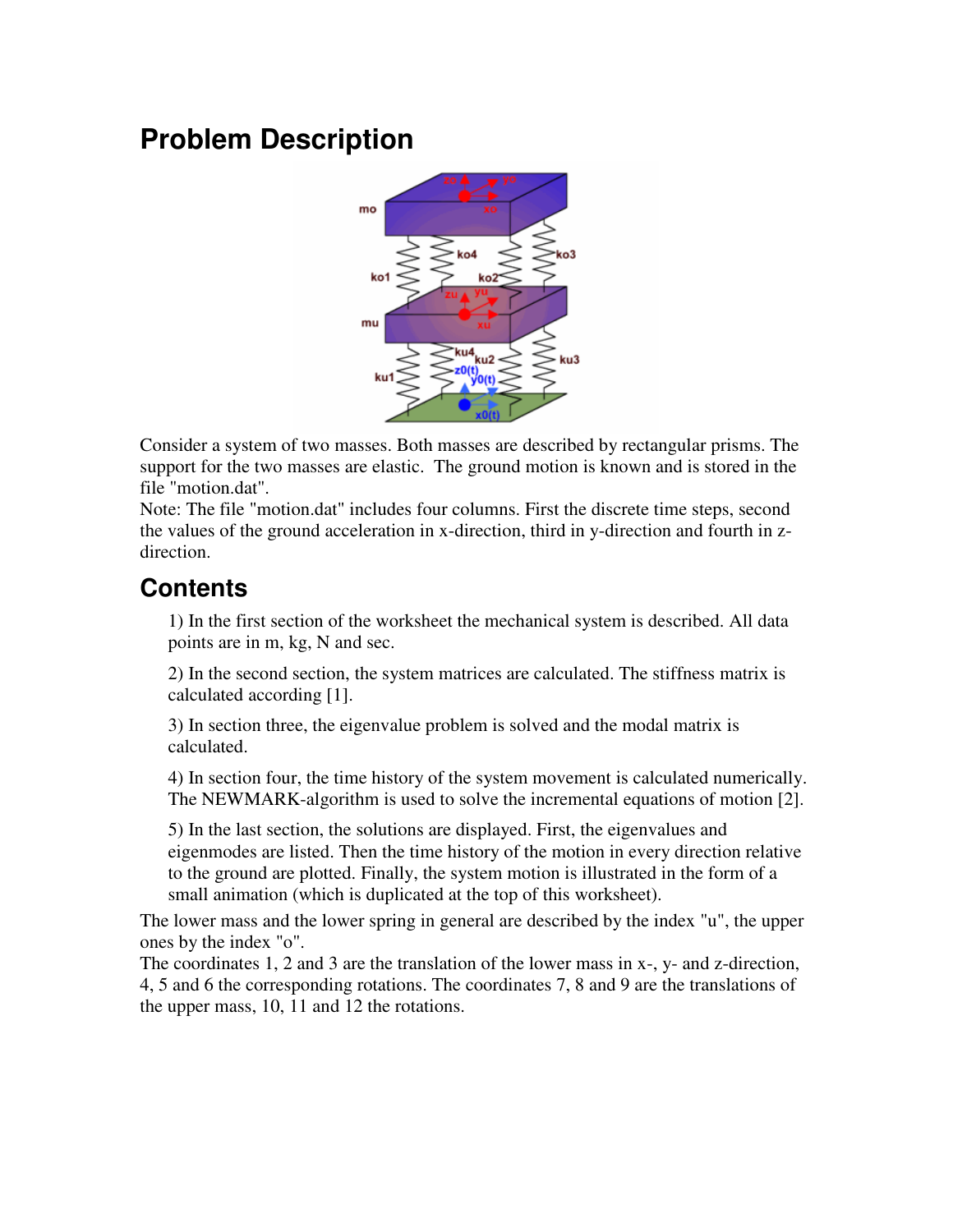# **Problem Description**



Consider a system of two masses. Both masses are described by rectangular prisms. The support for the two masses are elastic. The ground motion is known and is stored in the file "motion.dat".

Note: The file "motion.dat" includes four columns. First the discrete time steps, second the values of the ground acceleration in x-direction, third in y-direction and fourth in zdirection.

### **Contents**

1) In the first section of the worksheet the mechanical system is described. All data points are in m, kg, N and sec.

2) In the second section, the system matrices are calculated. The stiffness matrix is calculated according [1].

3) In section three, the eigenvalue problem is solved and the modal matrix is calculated.

4) In section four, the time history of the system movement is calculated numerically. The NEWMARK-algorithm is used to solve the incremental equations of motion [2].

5) In the last section, the solutions are displayed. First, the eigenvalues and eigenmodes are listed. Then the time history of the motion in every direction relative to the ground are plotted. Finally, the system motion is illustrated in the form of a small animation (which is duplicated at the top of this worksheet).

The lower mass and the lower spring in general are described by the index "u", the upper ones by the index "o".

The coordinates 1, 2 and 3 are the translation of the lower mass in x-, y- and z-direction, 4, 5 and 6 the corresponding rotations. The coordinates 7, 8 and 9 are the translations of the upper mass, 10, 11 and 12 the rotations.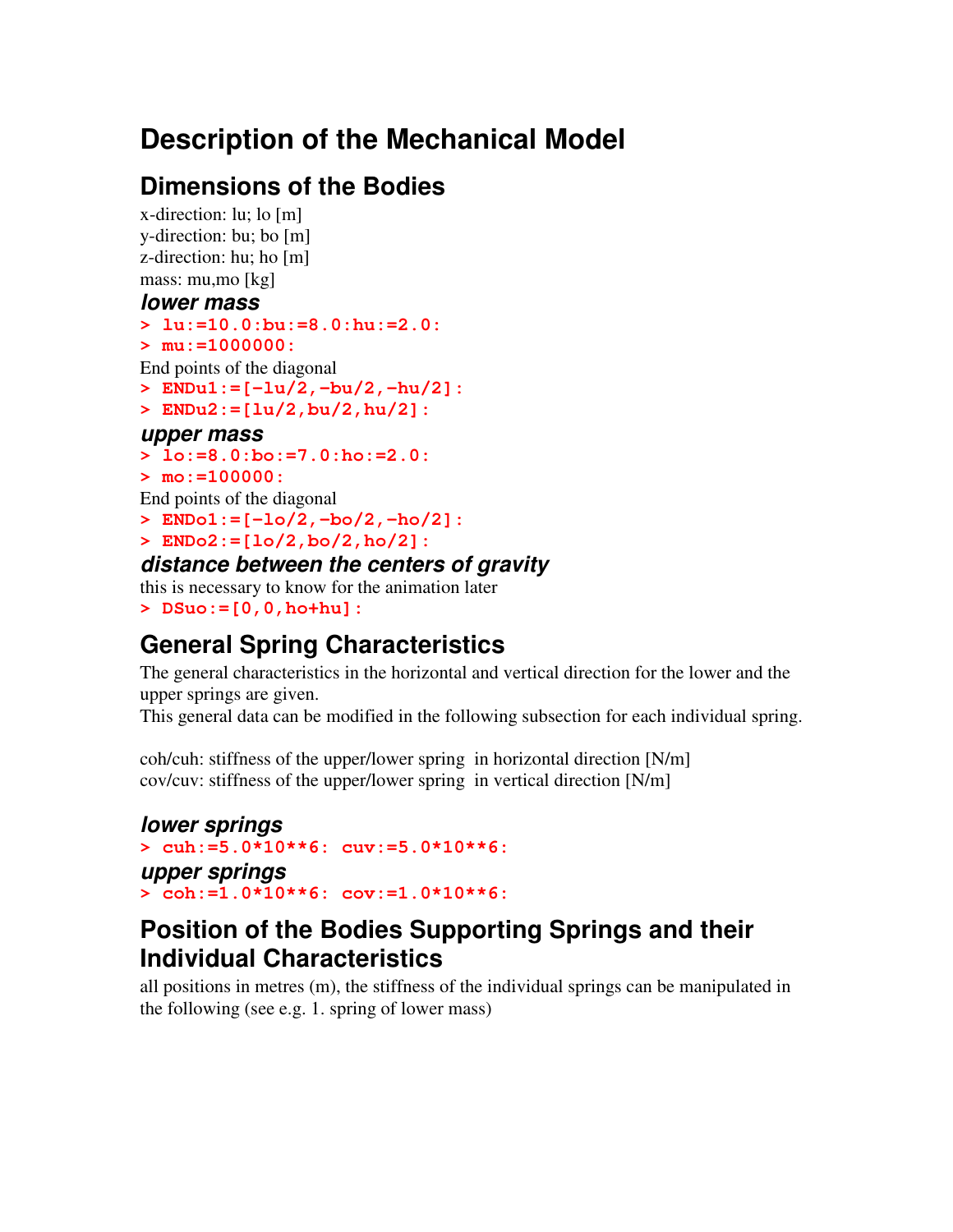# **Description of the Mechanical Model**

# **Dimensions of the Bodies**

x-direction: lu; lo [m] y-direction: bu; bo [m] z-direction: hu; ho [m] mass: mu,mo [kg]

#### *lower mass*

```
> lu:=10.0:bu:=8.0:hu:=2.0:
```

```
> mu:=1000000:
```
End points of the diagonal

```
> ENDu1:=[-lu/2,-bu/2,-hu/2]:
```

```
> ENDu2:=[lu/2,bu/2,hu/2]:
```
### *upper mass*

```
> lo:=8.0:bo:=7.0:ho:=2.0:
```
**> mo:=100000:**

End points of the diagonal

- **> ENDo1:=[-lo/2,-bo/2,-ho/2]:**
- **> ENDo2:=[lo/2,bo/2,ho/2]:**

### *distance between the centers of gravity*

this is necessary to know for the animation later **> DSuo:=[0,0,ho+hu]:**

# **General Spring Characteristics**

The general characteristics in the horizontal and vertical direction for the lower and the upper springs are given.

This general data can be modified in the following subsection for each individual spring.

coh/cuh: stiffness of the upper/lower spring in horizontal direction [N/m] cov/cuv: stiffness of the upper/lower spring in vertical direction [N/m]

#### *lower springs* **> cuh:=5.0\*10\*\*6: cuv:=5.0\*10\*\*6:** *upper springs* **> coh:=1.0\*10\*\*6: cov:=1.0\*10\*\*6:**

### **Position of the Bodies Supporting Springs and their Individual Characteristics**

all positions in metres (m), the stiffness of the individual springs can be manipulated in the following (see e.g. 1. spring of lower mass)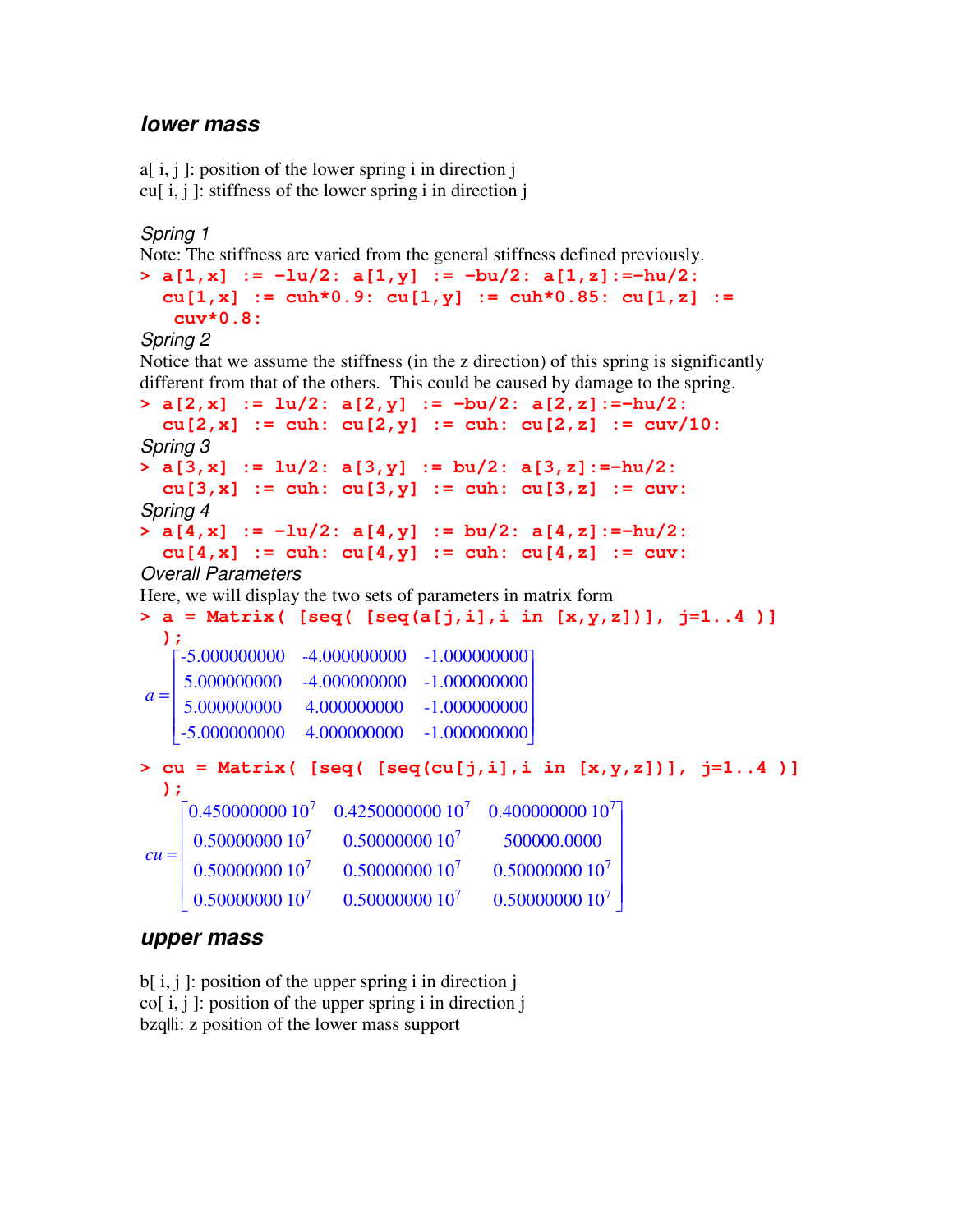### *lower mass*

```
a[i, j]: position of the lower spring i in direction jcu[i, j]: stiffness of the lower spring i in direction j
```
*Spring 1*

```
Note: The stiffness are varied from the general stiffness defined previously.
> a[1,x] := -lu/2: a[1,y] := -bu/2: a[1,z]:=-hu/2:
  cu[1,x] := cuh*0.9: cu[1,y] := cuh*0.85: cu[1,z] :=
   cuv*0.8:
```
*Spring 2*

Notice that we assume the stiffness (in the z direction) of this spring is significantly different from that of the others. This could be caused by damage to the spring.

**> a[2,x] := lu/2: a[2,y] := -bu/2: a[2,z]:=-hu/2: cu[2,x] := cuh: cu[2,y] := cuh: cu[2,z] := cuv/10:** *Spring 3* **> a[3,x] := lu/2: a[3,y] := bu/2: a[3,z]:=-hu/2: cu[3,x] := cuh: cu[3,y] := cuh: cu[3,z] := cuv:** *Spring 4* **> a[4,x] := -lu/2: a[4,y] := bu/2: a[4,z]:=-hu/2: cu[4,x] := cuh: cu[4,y] := cuh: cu[4,z] := cuv:** *Overall Parameters* Here, we will display the two sets of parameters in matrix form **> a = Matrix( [seq( [seq(a[j,i],i in [x,y,z])], j=1..4 )] );**  $a =$  $\begin{bmatrix} -5.000000000 & -4.000000000 & -1.000000000 \end{bmatrix}$ |<br>| L  $\mathbb{I}$  $\mathbb{R}$ L L  $\mathbf{r}$  -5.000000000 4.000000000 -1.000000000 5.000000000 -4.000000000 -1.000000000 5.000000000 4.000000000 -1.000000000 **> cu = Matrix( [seq( [seq(cu[j,i],i in [x,y,z])], j=1..4 )] );**  $cu =$  $\begin{bmatrix} 0.4500000000000^7 & 0.425000000000000^7 \end{bmatrix}$ |<br>|  $\mathbb{R}$ L L L  $\mathbb{R}$  $\mathbb{R}$ L  $\mathbf{r}$ ן 」  $\overline{\phantom{a}}$  $\overline{\phantom{a}}$  $\overline{\phantom{a}}$  $\overline{\phantom{a}}$  $\overline{\phantom{a}}$  $\overline{\phantom{a}}$  $\overline{\phantom{a}}$  $\overline{\phantom{a}}$  $\overline{\phantom{a}}$ 0.400000000 10<sup>7</sup> 0.50000000 10<sup>7</sup> 0.50000000 10<sup>7</sup> 500000.0000  $0.50000000010<sup>7</sup>$  $0.50000000010<sup>7</sup>$  $0.500000000010<sup>7</sup>$ 0.50000000 10<sup>7</sup> 0.50000000 10<sup>7</sup> 0.50000000 10<sup>7</sup>

#### *upper mass*

b[ i, j ]: position of the upper spring i in direction j  $\text{co}$ [ i, j ]: position of the upper spring i in direction j bzq||i: z position of the lower mass support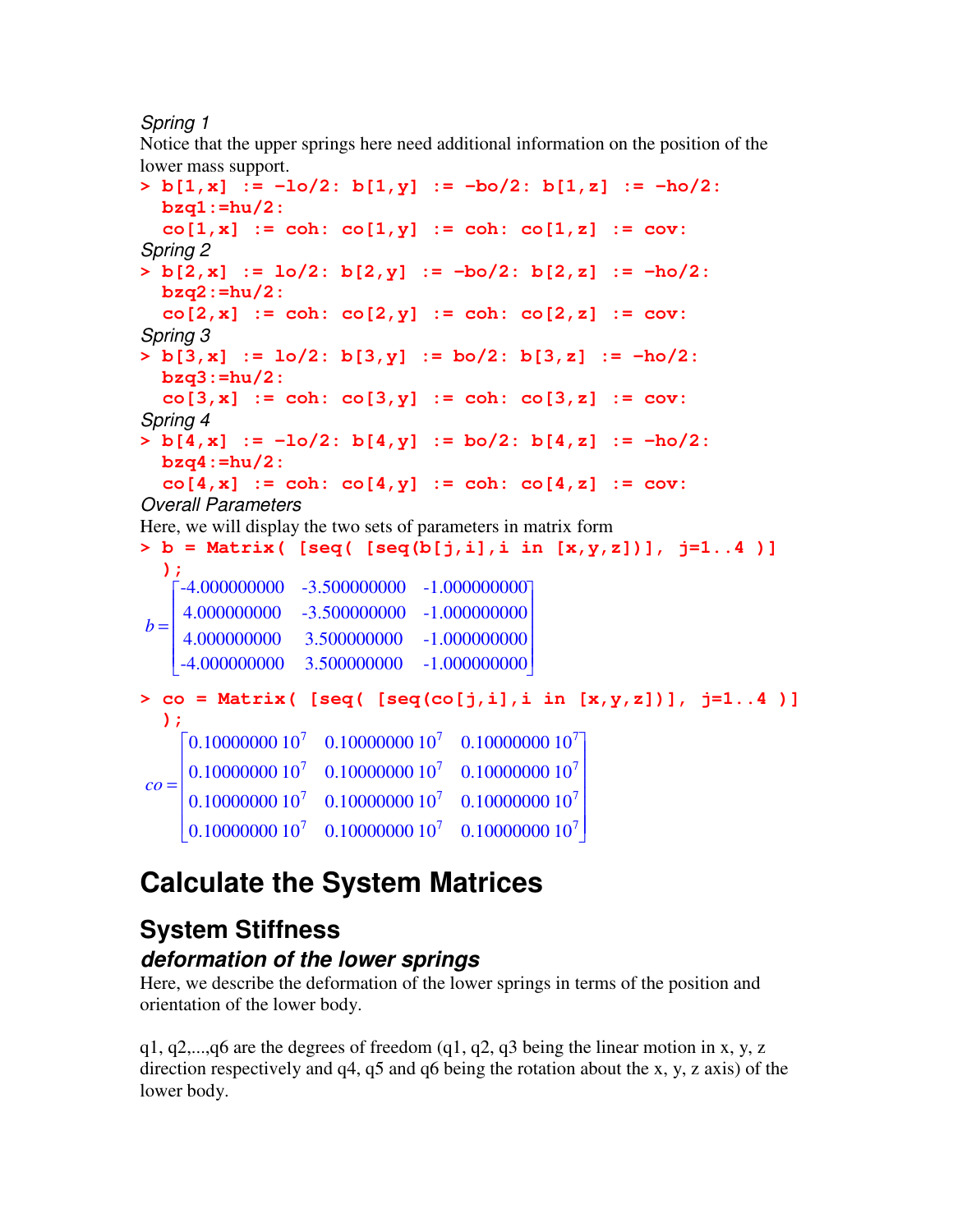#### *Spring 1*

Notice that the upper springs here need additional information on the position of the lower mass support.

**> b[1,x] := -lo/2: b[1,y] := -bo/2: b[1,z] := -ho/2: bzq1:=hu/2:**  $co[1, x] := coh: co[1, y] := coh: co[1, z] := cov:$ *Spring 2* **> b[2,x] := lo/2: b[2,y] := -bo/2: b[2,z] := -ho/2: bzq2:=hu/2: co[2,x] := coh: co[2,y] := coh: co[2,z] := cov:** *Spring 3* **> b[3,x] := lo/2: b[3,y] := bo/2: b[3,z] := -ho/2: bzq3:=hu/2: co[3,x] := coh: co[3,y] := coh: co[3,z] := cov:** *Spring 4* **> b[4,x] := -lo/2: b[4,y] := bo/2: b[4,z] := -ho/2: bzq4:=hu/2: co[4,x] := coh: co[4,y] := coh: co[4,z] := cov:** *Overall Parameters* Here, we will display the two sets of parameters in matrix form **> b = Matrix( [seq( [seq(b[j,i],i in [x,y,z])], j=1..4 )] );**  $b =$  $\begin{bmatrix} -4.000000000 & -3.500000000 & -1.000000000 \end{bmatrix}$ |<br>| L  $\mathbb{I}$  $\mathbb{R}$ L L  $\mathbf{r}$  -4.000000000 3.500000000 -1.000000000 4.000000000 -3.500000000 -1.000000000 4.000000000 3.500000000 -1.000000000 **> co = Matrix( [seq( [seq(co[j,i],i in [x,y,z])], j=1..4 )] );** *co* =  $\begin{bmatrix} 0.100000000 & 10^{7} & 0.10000000 & 10^{7} & 0.10000000 & 10^{7} \end{bmatrix}$ |<br>|  $\begin{bmatrix} 0.10000000 & 10^7 & 0.10000000 & 10^7 & 0.10000000 & 10^7 \end{bmatrix}$ 0.10000000 10<sup>7</sup>  $0.1000000010^{7}$   $0.1000000010^{7}$   $0.1000000010^{7}$  $\overline{\phantom{a}}$  $\overline{\phantom{a}}$ 0.10000000 10<sup>7</sup>  $0.1000000010^{7}$   $0.1000000010^{7}$   $0.1000000010^{7}$ 0.10000000 10<sup>7</sup>

# **Calculate the System Matrices**

# **System Stiffness**

### *deformation of the lower springs*

Here, we describe the deformation of the lower springs in terms of the position and orientation of the lower body.

 $q1, q2,...,q6$  are the degrees of freedom  $(q1, q2, q3)$  being the linear motion in x, y, z direction respectively and q4, q5 and q6 being the rotation about the x, y, z axis) of the lower body.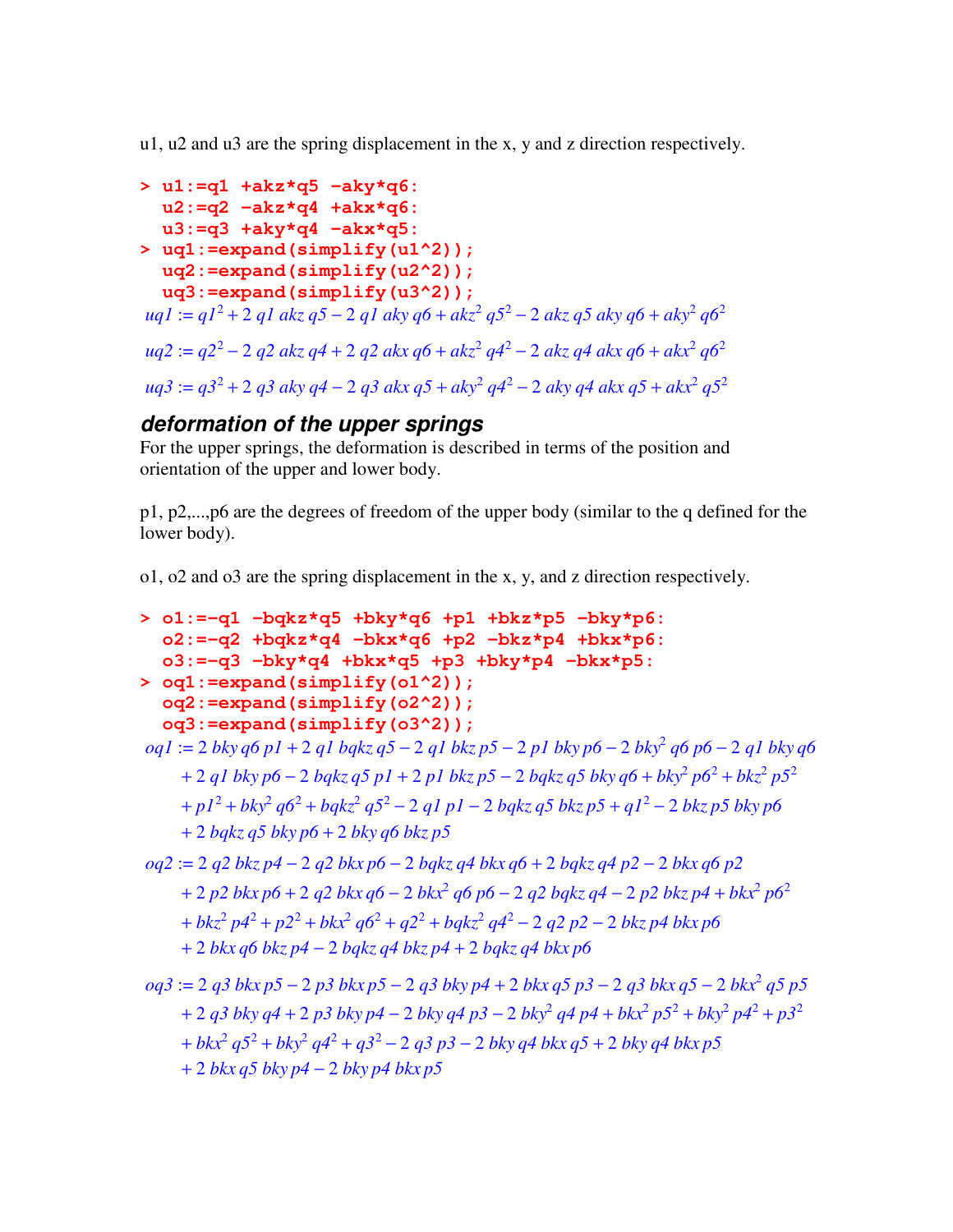u1, u2 and u3 are the spring displacement in the x, y and z direction respectively.

```
> u1:=q1 +akz*q5 -aky*q6:
  u2:=q2 -akz*q4 +akx*q6:
  u3:=q3 +aky*q4 -akx*q5:
> uq1:=expand(simplify(u1^2));
  uq2:=expand(simplify(u2^2));
  uq3:=expand(simplify(u3^2));
uq1 := q1^2 + 2 q1 akz q5 - 2 q1 aky q6 + akz^2 q5^2 - 2 akz q5 aky q6 + aky^2 q6^2uq2 := q2^2 - 2\ q2\ akz\ q4 + 2\ q2\ akx\ q6 + akz^2\ q4^2 - 2\ akz\ q4\ akx\ q6 + akx^2\ q6^2uq3 := q3^2 + 2 q3 aky q4 - 2 q3 akx q5 + aky^2 q4^2 - 2 aky q4 akx q5 + akk^2 q5^2
```
### *deformation of the upper springs*

For the upper springs, the deformation is described in terms of the position and orientation of the upper and lower body.

p1, p2,...,p6 are the degrees of freedom of the upper body (similar to the q defined for the lower body).

o1, o2 and o3 are the spring displacement in the x, y, and z direction respectively.

```
> o1:=-q1 -bqkz*q5 +bky*q6 +p1 +bkz*p5 -bky*p6:
   o2:=-q2 +bqkz*q4 -bkx*q6 +p2 -bkz*p4 +bkx*p6:
   o3:=-q3 -bky*q4 +bkx*q5 +p3 +bky*p4 -bkx*p5:
> oq1:=expand(simplify(o1^2));
   oq2:=expand(simplify(o2^2));
   oq3:=expand(simplify(o3^2));
oq1 2 bky q6 p1 2 q1 bqkz q5 2 q1 bkz p5 2 p1 bky p6 2 bky
2
:= + − − − q6 p6 − 2 q1 bky q6
      + 2 q1 bky p6 − 2 bqkz q5 p1 + 2 p1 bkz p5 − 2 bqkz q5 bky q6 + bky^{2} p6^{2} + bkz^{2} p5^{2}p1<sup>2</sup> + bky<sup>2</sup> q6<sup>2</sup> + bqkz<sup>2</sup> q5<sup>2</sup> − 2 q1 p1 − 2 bqkz q5 bkz p5 + q1<sup>2</sup> − 2 bkz p5 bky p6
      + 2 bqkz q5 bky p6 + 2 bky q6 bkz p5
oq2 := 2 q2 bkz p4 − 2 q2 bkx p6 − 2 bqkz q4 bkx q6 + 2 bqkz q4 p2 − 2 bkx q6 p2
      + 2 p2 bkx p6 + 2 q2 bkx q6 − 2 bkx<sup>2</sup> q6 p6 − 2 q2 bqkz q4 − 2 p2 bkz p4 + bkx<sup>2</sup> p6<sup>2</sup>
      bkz<sup>2</sup> p4<sup>2</sup> + p2<sup>2</sup> + bkx<sup>2</sup> q6<sup>2</sup> + q2<sup>2</sup> + bqkz<sup>2</sup> q4<sup>2</sup> − 2 q2 p2 − 2 bkz p4 bkx p6
      + 2 bkx q6 bkz p4 − 2 bqkz q4 bkz p4 + 2 bqkz q4 bkx p6
oq3 := 2 q3 bkx p5 − 2 p3 bkx p5 − 2 q3 bky p4 + 2 bkx q5 p3 − 2 q3 bkx q5 − 2 bkx<sup>2</sup> q5 p5
      + 2 q3 bky q4 + 2 p3 bky p4 - 2 bky q4 p3 - 2 bky<sup>2</sup> q4 p4 + bky<sup>2</sup> p5<sup>2</sup> + bky<sup>2</sup> p4<sup>2</sup> + p3<sup>2</sup>bkx<sup>2</sup> q5^2 + bky^2 q4^2 + q3^2 - 2 q3 p3 - 2 bky q4 bkk q5 + 2 bky q4 bkk p5+ 2 bkx q5 bky p4 − 2 bky p4 bkx p5
```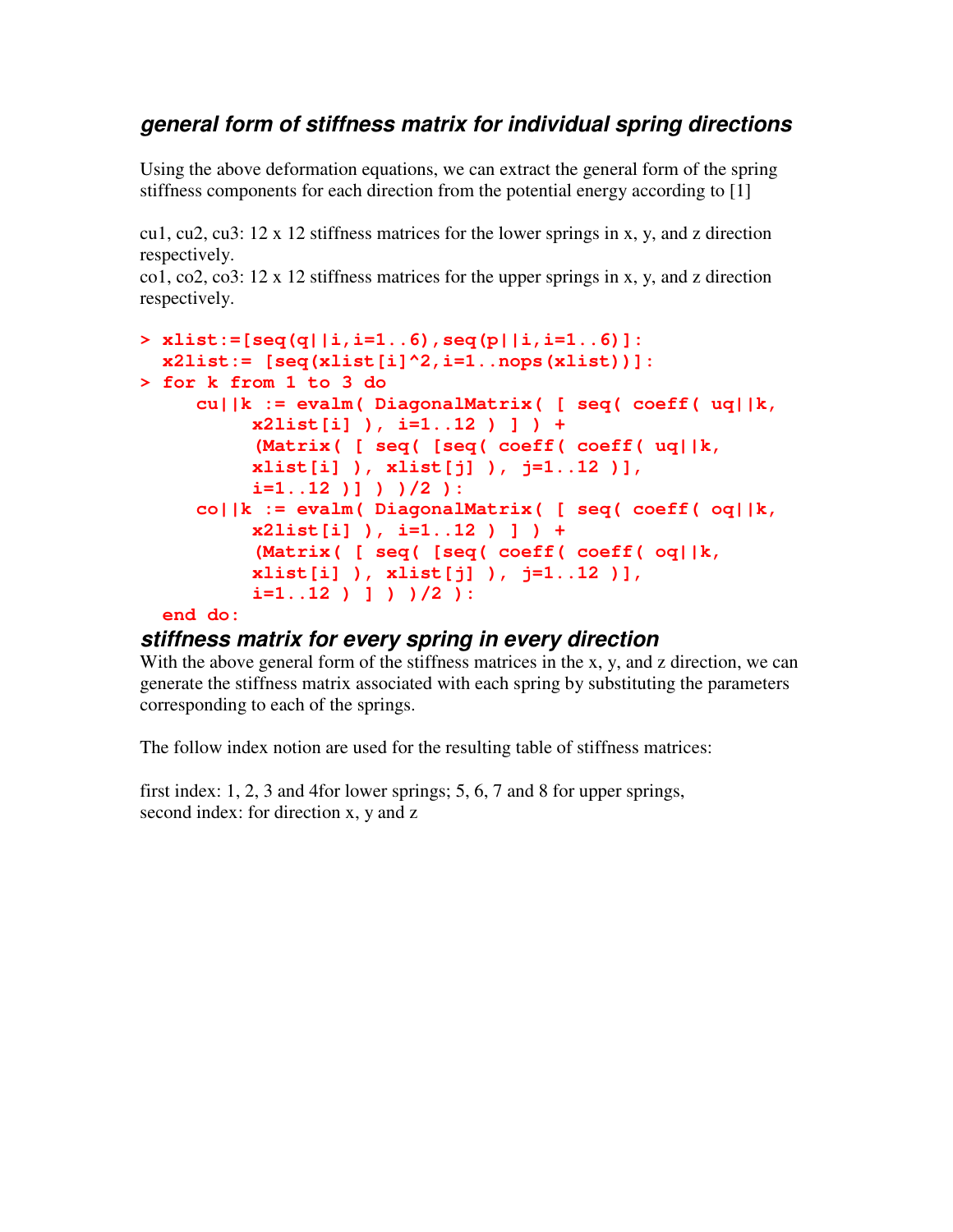### *general form of stiffness matrix for individual spring directions*

Using the above deformation equations, we can extract the general form of the spring stiffness components for each direction from the potential energy according to [1]

cu1, cu2, cu3:  $12 \times 12$  stiffness matrices for the lower springs in x, y, and z direction respectively.

co1, co2, co3:  $12 \times 12$  stiffness matrices for the upper springs in x, y, and z direction respectively.

```
> xlist:=[seq(q||i,i=1..6),seq(p||i,i=1..6)]:
 x2list:= [seq(xlist[i]^2,i=1..nops(xlist))]:
> for k from 1 to 3 do
     cu||k := evalm( DiagonalMatrix( [ seq( coeff( uq||k,
          x2list[i] ), i=1..12 ) ] ) +
          (Matrix( [ seq( [seq( coeff( coeff( uq||k,
          xlist[i] ), xlist[j] ), j=1..12 )],
          i=1..12 )] ) )/2 ):
     co||k := evalm( DiagonalMatrix( [ seq( coeff( oq||k,
          x2list[i] ), i=1..12 ) ] ) +
          (Matrix( [ seq( [seq( coeff( coeff( oq||k,
          xlist[i] ), xlist[j] ), j=1..12 )],
          i=1..12 ) ] ) )/2 ):
  end do:
```
### *stiffness matrix for every spring in every direction*

With the above general form of the stiffness matrices in the x, y, and z direction, we can generate the stiffness matrix associated with each spring by substituting the parameters corresponding to each of the springs.

The follow index notion are used for the resulting table of stiffness matrices:

first index: 1, 2, 3 and 4for lower springs; 5, 6, 7 and 8 for upper springs, second index: for direction x, y and z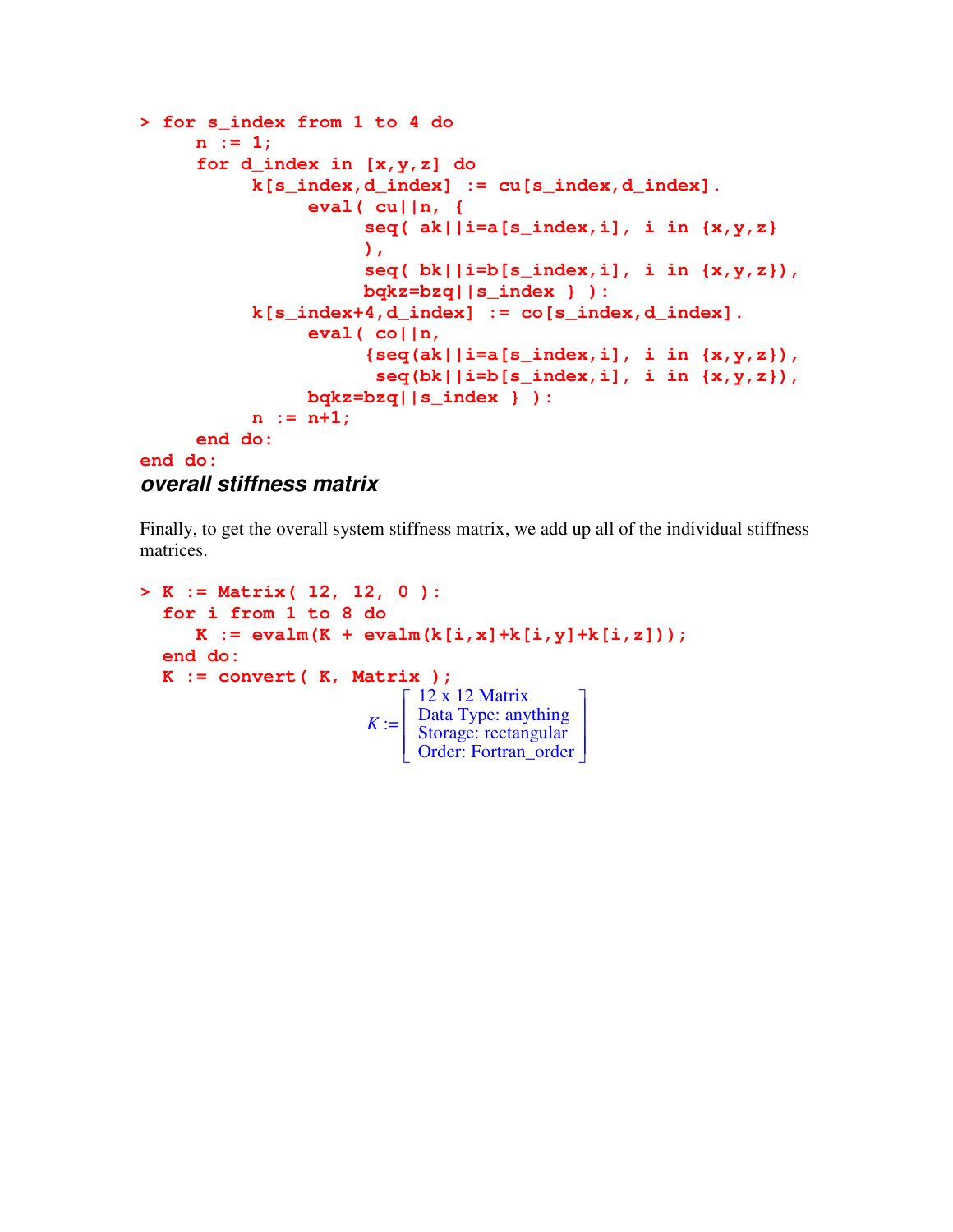```
> for s_index from 1 to 4 do
     n := 1;
     for d_index in [x,y,z] do
          k[s_index,d_index] := cu[s_index,d_index].
               eval( cu||n, {
                    seq( ak||i=a[s_index,i], i in {x,y,z}
                    ),
                    seq( bk||i=b[s_index,i], i in {x,y,z}),
                    bqkz=bzq||s_index } ):
          k[s\_index+4, d\_index] := co[s\_index, d\_index].eval( co||n,
                     {seq(ak||i=a[s_index,i], i in {x,y,z}),
                     seq(bk||i=b[s_index,i], i in {x,y,z}),
               bqkz=bzq||s_index } ):
          n := n+1;
     end do:
end do:
```

```
overall stiffness matrix
```
Finally, to get the overall system stiffness matrix, we add up all of the individual stiffness matrices.

```
> K := Matrix( 12, 12, 0 ):
   for i from 1 to 8 do
       K := \text{evalm}(K + \text{evalm}(k[i, x] + k[i, y] + k[i, z]));
  end do:
  K := convert( K, Matrix );
                             K :=
12 x 12 Matrix
                                  L

                                                         1
                                                         \overline{\phantom{a}}

                                    Data Type: anything
                                    Storage: rectangular
                                    Order: Fortran_order
```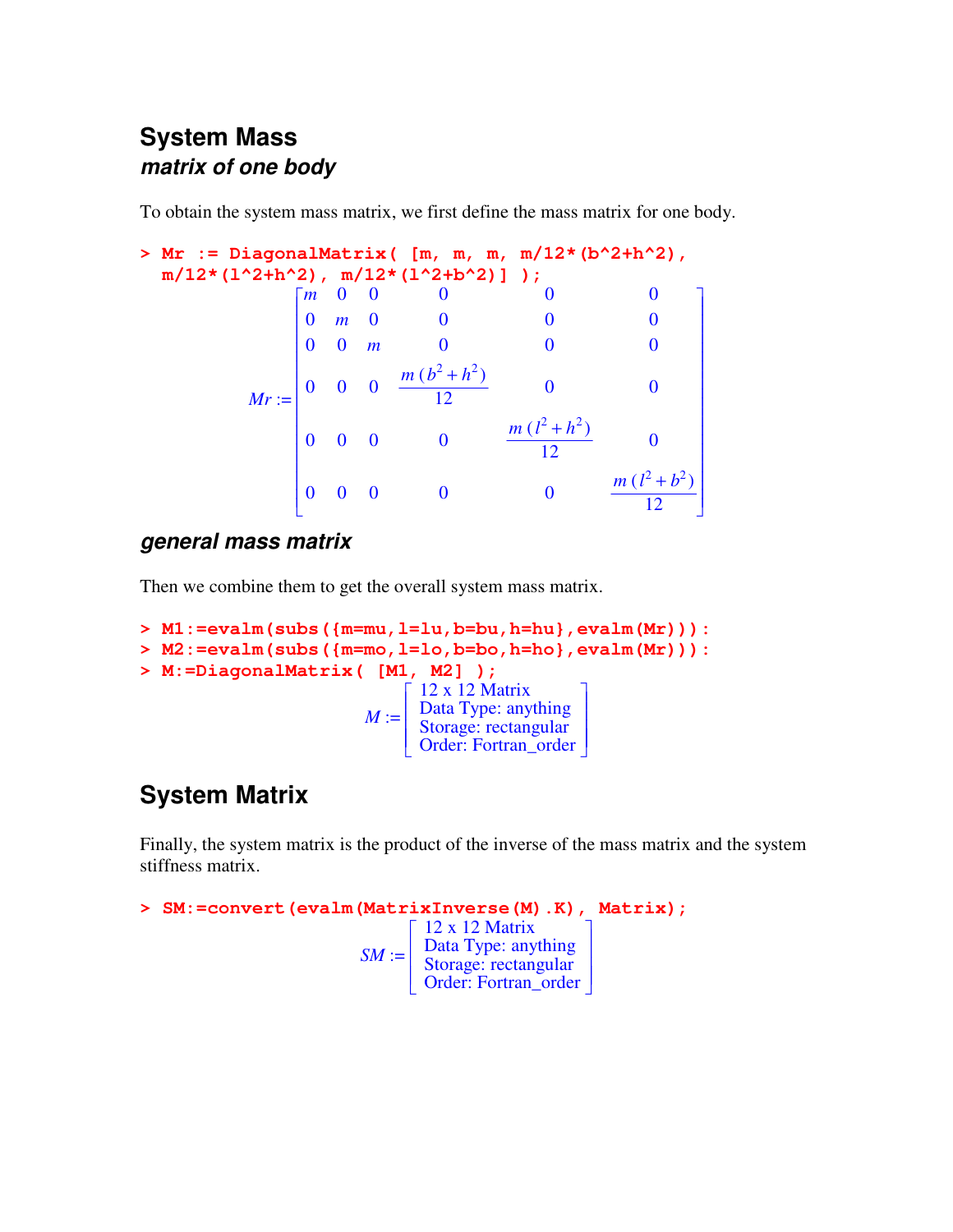### **System Mass** *matrix of one body*

To obtain the system mass matrix, we first define the mass matrix for one body.

```
> Mr := DiagonalMatrix( [m, m, m, m/12*(b^2+h^2),
  m/12*(l^2+h^2), m/12*(l^2+b^2)] );
          Mr :=
               Г
               -

                                                      ן
                                                      \rfloor

                m 0 0 0 0 0
                0 m 0 0 0 0
                0 0 m 0 0 0
                0 0 0 \frac{m (b^2 + h^2)}{12}\frac{(1+i)^2}{12} 0 0
                0 0 0 0 \frac{m (l^2 + h^2)}{12}\frac{1}{12} 0
                0 0 0 0 0 \frac{m (l^2 + b^2)}{12}12
```
### *general mass matrix*

Then we combine them to get the overall system mass matrix.

```
> M1:=evalm(subs({m=mu,l=lu,b=bu,h=hu},evalm(Mr))):
> M2:=evalm(subs({m=mo,l=lo,b=bo,h=ho},evalm(Mr))):
> M:=DiagonalMatrix( [M1, M2] );
                          M :=Г
                               L

                                                    ן
                                                    \overline{\phantom{a}}

                                 12 x 12 Matrix
                                 Data Type: anything
                                 Storage: rectangular
                                 Order: Fortran_order
```
# **System Matrix**

Finally, the system matrix is the product of the inverse of the mass matrix and the system stiffness matrix.

```
> SM:=convert(evalm(MatrixInverse(M).K), Matrix);
                               SM :=
                                      Г
                                      L

                                                              ן
                                                              \overline{\phantom{a}}

                                        12 x 12 Matrix
                                        Data Type: anything
                                        Storage: rectangular
                                        Order: Fortran_order
```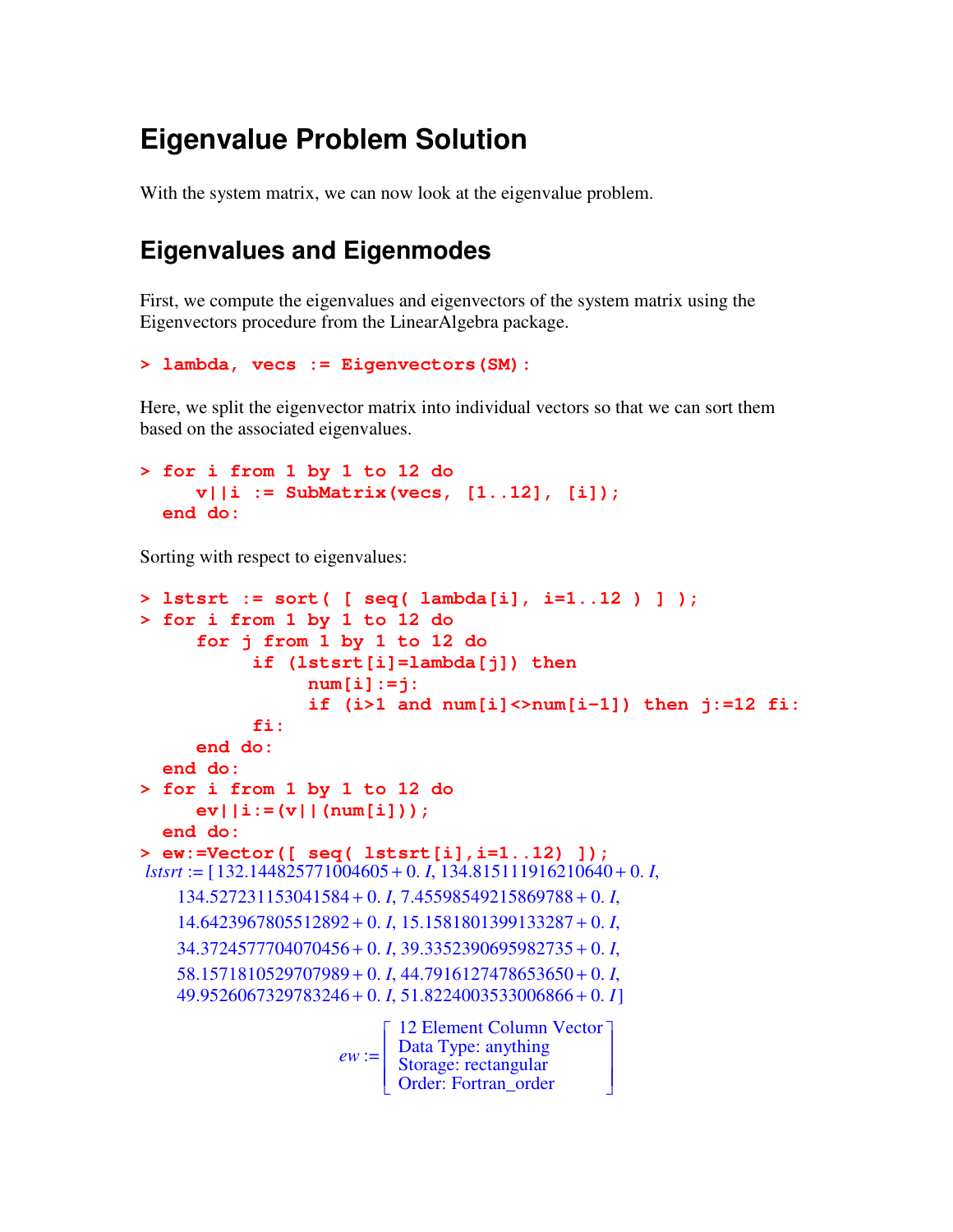# **Eigenvalue Problem Solution**

With the system matrix, we can now look at the eigenvalue problem.

### **Eigenvalues and Eigenmodes**

First, we compute the eigenvalues and eigenvectors of the system matrix using the Eigenvectors procedure from the LinearAlgebra package.

```
> lambda, vecs := Eigenvectors(SM):
```
Here, we split the eigenvector matrix into individual vectors so that we can sort them based on the associated eigenvalues.

```
> for i from 1 by 1 to 12 do
     v||i := SubMatrix(vecs, [1..12], [i]);
  end do:
```
Sorting with respect to eigenvalues:

```
> lstsrt := sort( [ seq( lambda[i], i=1..12 ) ] );
> for i from 1 by 1 to 12 do
       for j from 1 by 1 to 12 do
               if (lstsrt[i]=lambda[j]) then
                       num[i]:=j:
                       if (i>1 and num[i]<>num[i-1]) then j:=12 fi:
               fi:
       end do:
   end do:
> for i from 1 by 1 to 12 do
       ev||i:=(v||(num[i]));
   end do:
> ew:=Vector([ seq( lstsrt[i],i=1..12) ]);
lstsrt := [132.144825771004605 + 0. I, 134.815111916210640 + 0. I,
     134.527231153041584 + 0. I, 7.45598549215869788 + 0. I,
     14.6423967805512892 + 0. I, 15.1581801399133287 + 0. I,
     34.3724577704070456 + 0. I, 39.3352390695982735 + 0. I,
     58.1571810529707989 + 0. I, 44.7916127478653650 + 0. I,
    49.9526067329783246 + 0. I, 51.8224003533006866 + 0. I]
                           ew :=
                                 \left[ \begin{array}{c} 12 \text{ Element Column Vector} \\ \text{Data True: anything} \end{array} \right]|<br>|

                                                                \overline{\phantom{a}}\overline{\phantom{a}}\overline{\phantom{a}}\overline{\phantom{a}}\overline{\phantom{a}}Data Type: anything
                                   Storage: rectangular
                                   Order: Fortran_order
```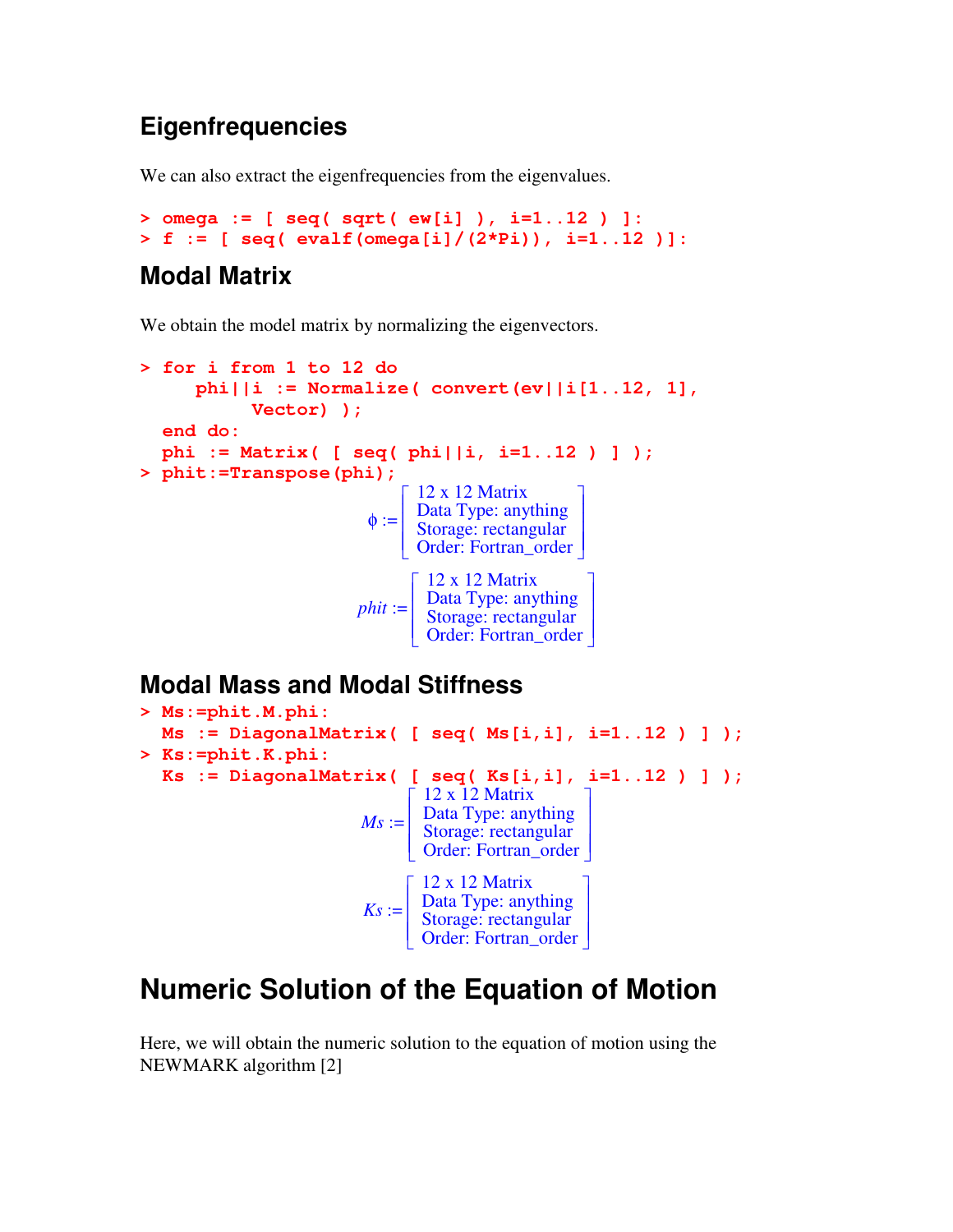# **Eigenfrequencies**

We can also extract the eigenfrequencies from the eigenvalues.

**> omega := [ seq( sqrt( ew[i] ), i=1..12 ) ]: > f := [ seq( evalf(omega[i]/(2\*Pi)), i=1..12 )]:**

### **Modal Matrix**

We obtain the model matrix by normalizing the eigenvectors.

```
> for i from 1 to 12 do
       phi||i := Normalize( convert(ev||i[1..12, 1],
               Vector) );
   end do:
   phi := Matrix( [ seq( phi||i, i=1..12 ) ] );
> phit:=Transpose(phi);
                               \phi :=Г
                                    |<br>|

                                                            ן
                                                            \overline{\phantom{a}}

                                      12 x 12 Matrix
                                      Data Type: anything
                                      Storage: rectangular
                                      Order: Fortran_order
                              phit :=
                                     Г
                                     |<br>|

                                                             ן
                                                             \overline{\phantom{a}}

                                       12 x 12 Matrix
                                       Data Type: anything
                                       Storage: rectangular
                                       Order: Fortran_order
```
### **Modal Mass and Modal Stiffness**

```
> Ms:=phit.M.phi:
  Ms := DiagonalMatrix( [ seq( Ms[i,i], i=1..12 ) ] );
> Ks:=phit.K.phi:
  Ks := DiagonalMatrix( [ seq( Ks[i,i], i=1..12 ) ] );
                            Ms :=Г
                                  -

                                                         1
                                                         \rfloor\overline{\phantom{a}}12 x 12 Matrix
                                    Data Type: anything
                                    Storage: rectangular
                                    Order: Fortran_order
                            Ks :=Г
                                  |<br>|

                                                         ן
                                                         」

                                    12 x 12 Matrix
                                    Data Type: anything
                                    Storage: rectangular
                                    Order: Fortran_order
```
# **Numeric Solution of the Equation of Motion**

Here, we will obtain the numeric solution to the equation of motion using the NEWMARK algorithm [2]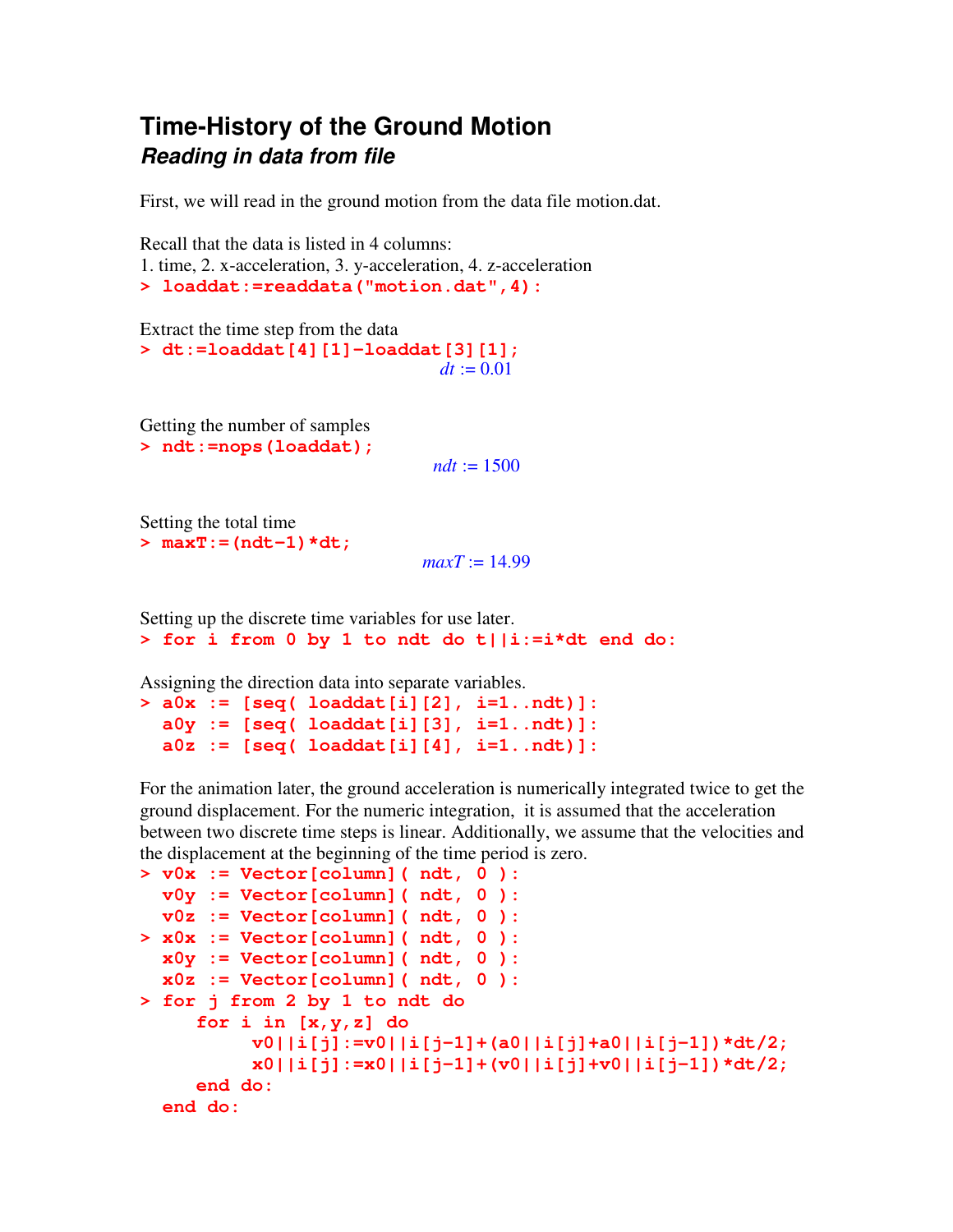### **Time-History of the Ground Motion** *Reading in data from file*

First, we will read in the ground motion from the data file motion.dat.

Recall that the data is listed in 4 columns:

1. time, 2. x-acceleration, 3. y-acceleration, 4. z-acceleration

```
> loaddat:=readdata("motion.dat",4):
```
Extract the time step from the data **> dt:=loaddat[4][1]-loaddat[3][1];**  $dt := 0.01$ 

Getting the number of samples **> ndt:=nops(loaddat);**

 $ndt := 1500$ 

Setting the total time **> maxT:=(ndt-1)\*dt;**

 $maxT := 14.99$ 

Setting up the discrete time variables for use later. **> for i from 0 by 1 to ndt do t||i:=i\*dt end do:**

Assigning the direction data into separate variables.

```
> a0x := [seq( loaddat[i][2], i=1..ndt)]:
  a0y := [seq( loaddat[i][3], i=1..ndt)]:
  a0z := [seq( loaddat[i][4], i=1..ndt)]:
```
For the animation later, the ground acceleration is numerically integrated twice to get the ground displacement. For the numeric integration, it is assumed that the acceleration between two discrete time steps is linear. Additionally, we assume that the velocities and the displacement at the beginning of the time period is zero.

```
> v0x := Vector[column]( ndt, 0 ):
  v0y := Vector[column]( ndt, 0 ):
 v0z := Vector[column]( ndt, 0 ):
> x0x := Vector[column]( ndt, 0 ):
  x0y := Vector[column]( ndt, 0 ):
  x0z := Vector[column]( ndt, 0 ):
> for j from 2 by 1 to ndt do
     for i in [x,y,z] do
          v0||i[j]:=v0||i[j-1]+(a0||i[j]+a0||i[j-1])*dt/2;
          x0||i[j]:=x0||i[j-1]+(v0||i[j]+v0||i[j-1])*dt/2;
     end do:
  end do:
```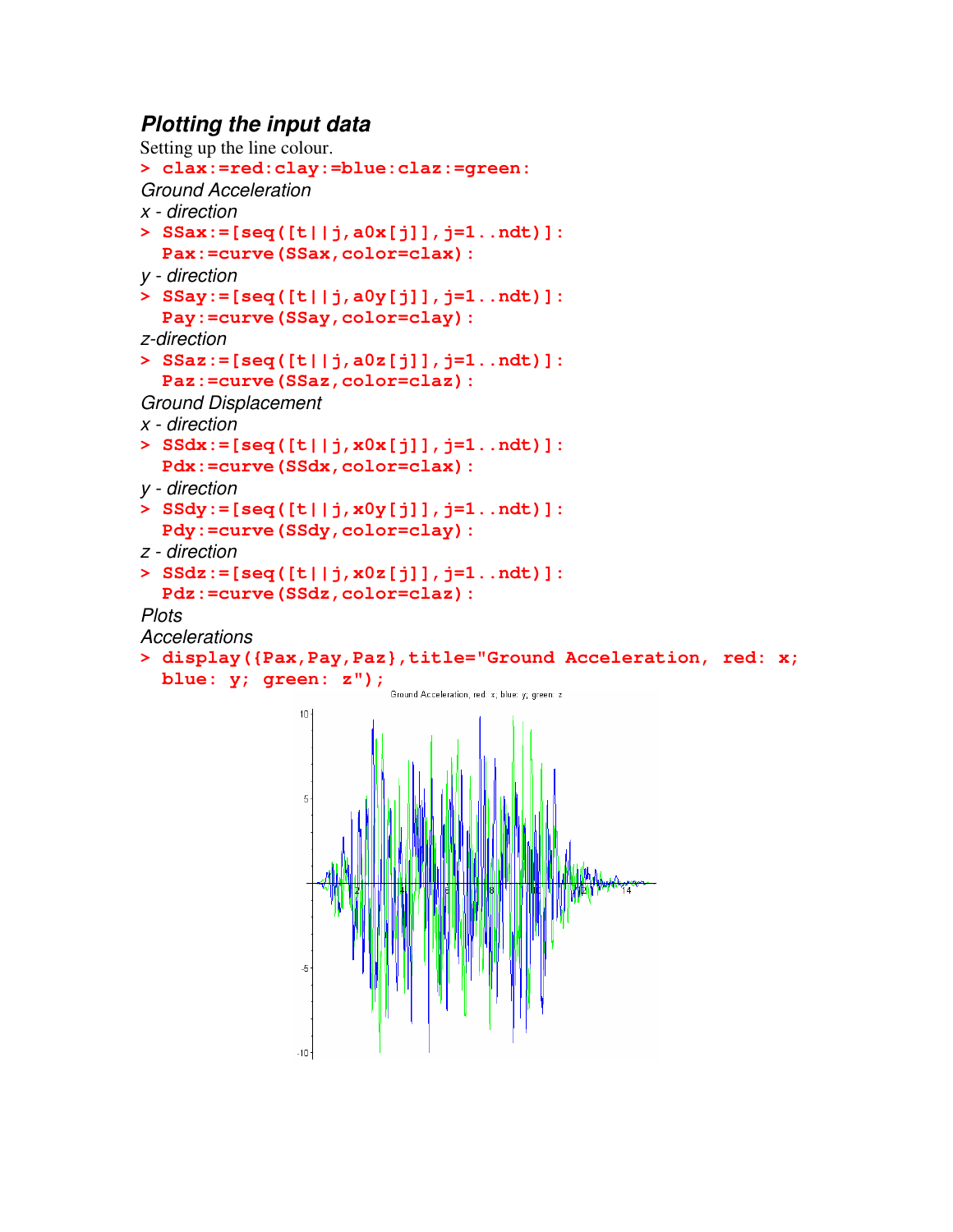### *Plotting the input data*

```
Setting up the line colour.
> clax:=red:clay:=blue:claz:=green:
Ground Acceleration
x - direction
> SSax:=[seq([t||j,a0x[j]],j=1..ndt)]:
  Pax:=curve(SSax,color=clax):
y - direction
> SSay:=[seq([t||j,a0y[j]],j=1..ndt)]:
  Pay:=curve(SSay,color=clay):
z-direction
> SSaz:=[seq([t||j,a0z[j]],j=1..ndt)]:
  Paz:=curve(SSaz,color=claz):
Ground Displacement
x - direction
> SSdx:=[seq([t||j,x0x[j]],j=1..ndt)]:
  Pdx:=curve(SSdx,color=clax):
y - direction
> SSdy:=[seq([t||j,x0y[j]],j=1..ndt)]:
  Pdy:=curve(SSdy,color=clay):
z - direction
> SSdz:=[seq([t||j,x0z[j]],j=1..ndt)]:
  Pdz:=curve(SSdz,color=claz):
Plots
Accelerations
> display({Pax,Pay,Paz},title="Ground Acceleration, red: x;
  blue: y; green: z");Ground Acceleration, red: x; blue: y; green: z
                10<sup>1</sup>
```


 $-10-$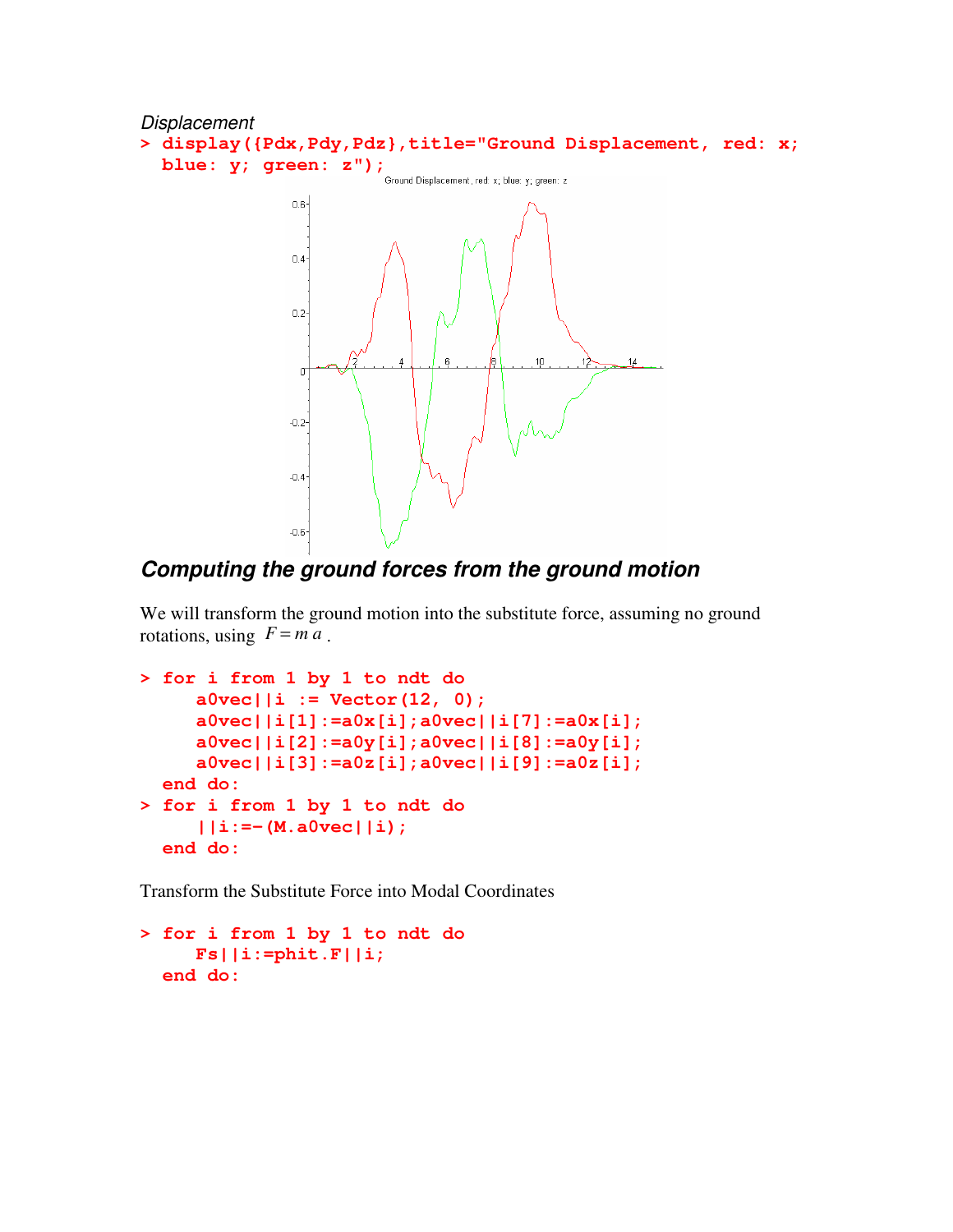

### *Computing the ground forces from the ground motion*

We will transform the ground motion into the substitute force, assuming no ground rotations, using  $F = ma$ .

```
> for i from 1 by 1 to ndt do
     a0vec||i := Vector(12, 0);
     a0vec||i[1]:=a0x[i];a0vec||i[7]:=a0x[i];
     a0vec||i[2]:=a0y[i];a0vec||i[8]:=a0y[i];
     a0vec||i[3]:=a0z[i];a0vec||i[9]:=a0z[i];
  end do:
> for i from 1 by 1 to ndt do
     ||i:=-(M.a0vec||i);
  end do:
```
Transform the Substitute Force into Modal Coordinates

```
> for i from 1 by 1 to ndt do
    Fs||i:=phit.F||i;
  end do:
```
 $-0.6$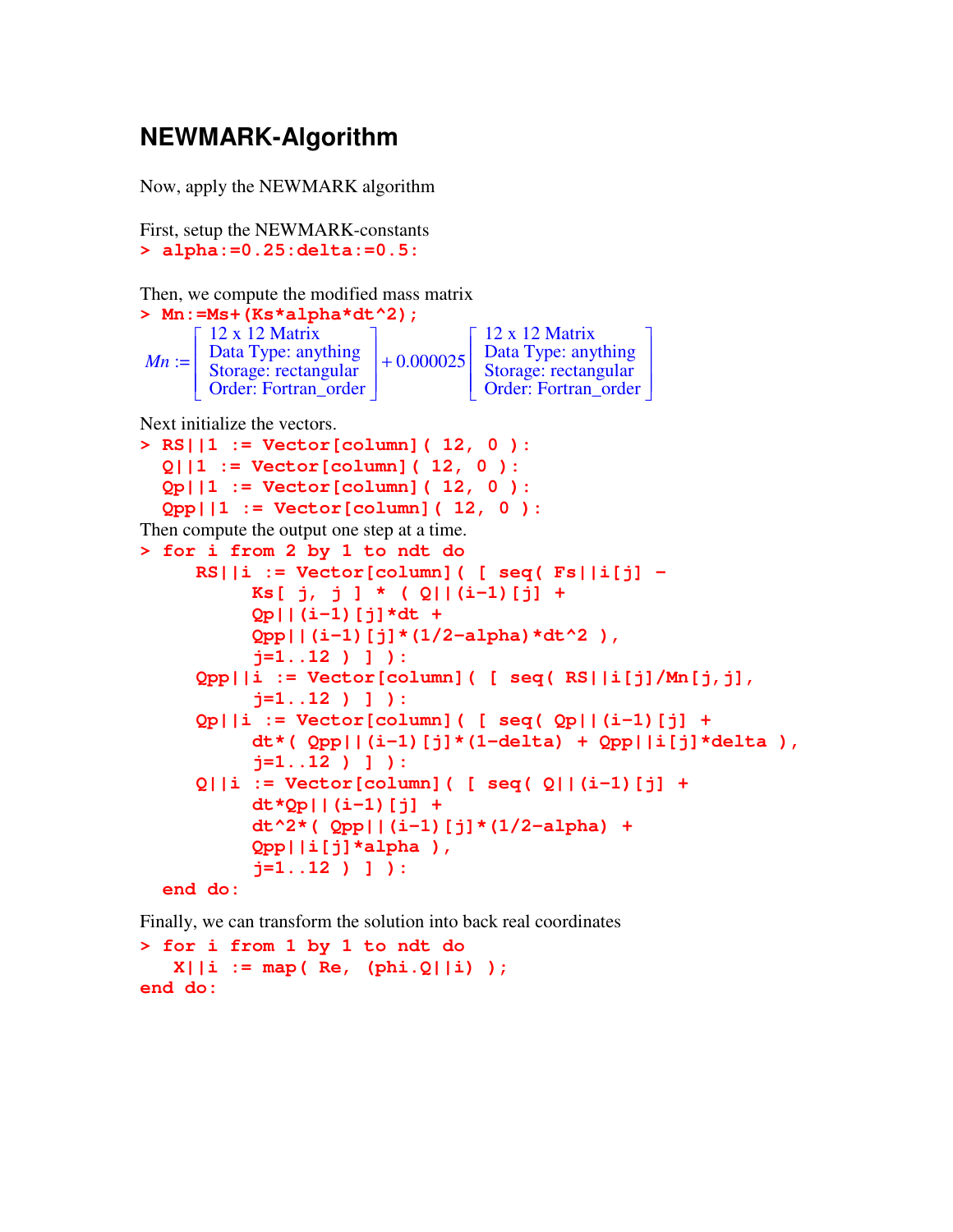### **NEWMARK-Algorithm**

Now, apply the NEWMARK algorithm

```
First, setup the NEWMARK-constants
> alpha:=0.25:delta:=0.5:
```
Then, we compute the modified mass matrix

| > Mn:=Ms+(Ks*alpha*dt^2); |                                                                                              |             |                                                                                                |
|---------------------------|----------------------------------------------------------------------------------------------|-------------|------------------------------------------------------------------------------------------------|
| $Mn :=$                   | $12 \times 12$ Matrix<br>Data Type: anything<br>Storage: rectangular<br>Order: Fortran_order | $+0.000025$ | $\Gamma$ 12 x 12 Matrix<br>Data Type: anything<br>Storage: rectangular<br>Order: Fortran_order |

Next initialize the vectors.

```
> RS||1 := Vector[column]( 12, 0 ):
  Q||1 := Vector[column]( 12, 0 ):
  Qp||1 := Vector[column]( 12, 0 ):
  Qpp||1 := Vector[column]( 12, 0 ):
Then compute the output one step at a time.
> for i from 2 by 1 to ndt do
     RS||i := Vector[column]( [ seq( Fs||i[j] –
          Ks[ j, j ] * ( Q||(i-1)[j] +
          Qp||(i-1)[j]*dt +
          Qpp||(i-1)[j]*(1/2-alpha)*dt^2 ),
          j=1..12 ) ] ):
     Qpp||i := Vector[column]( [ seq( RS||i[j]/Mn[j,j],
          j=1..12 ) ] ):
     Qp||i := Vector[column]( [ seq( Qp||(i-1)[j] +
          dt*( Qpp||(i-1)[j]*(1-delta) + Qpp||i[j]*delta ),
          j=1..12 ) ] ):
     Q||i := Vector[column]( [ seq( Q||(i-1)[j] +
          dt*Qp||(i-1)[j] +
          dt^2*( Qpp||(i-1)[j]*(1/2-alpha) +
          Qpp||i[j]*alpha ),
          j=1..12 ) ] ):
```

```
end do:
```
Finally, we can transform the solution into back real coordinates

**> for i from 1 by 1 to ndt do X||i := map( Re, (phi.Q||i) ); end do:**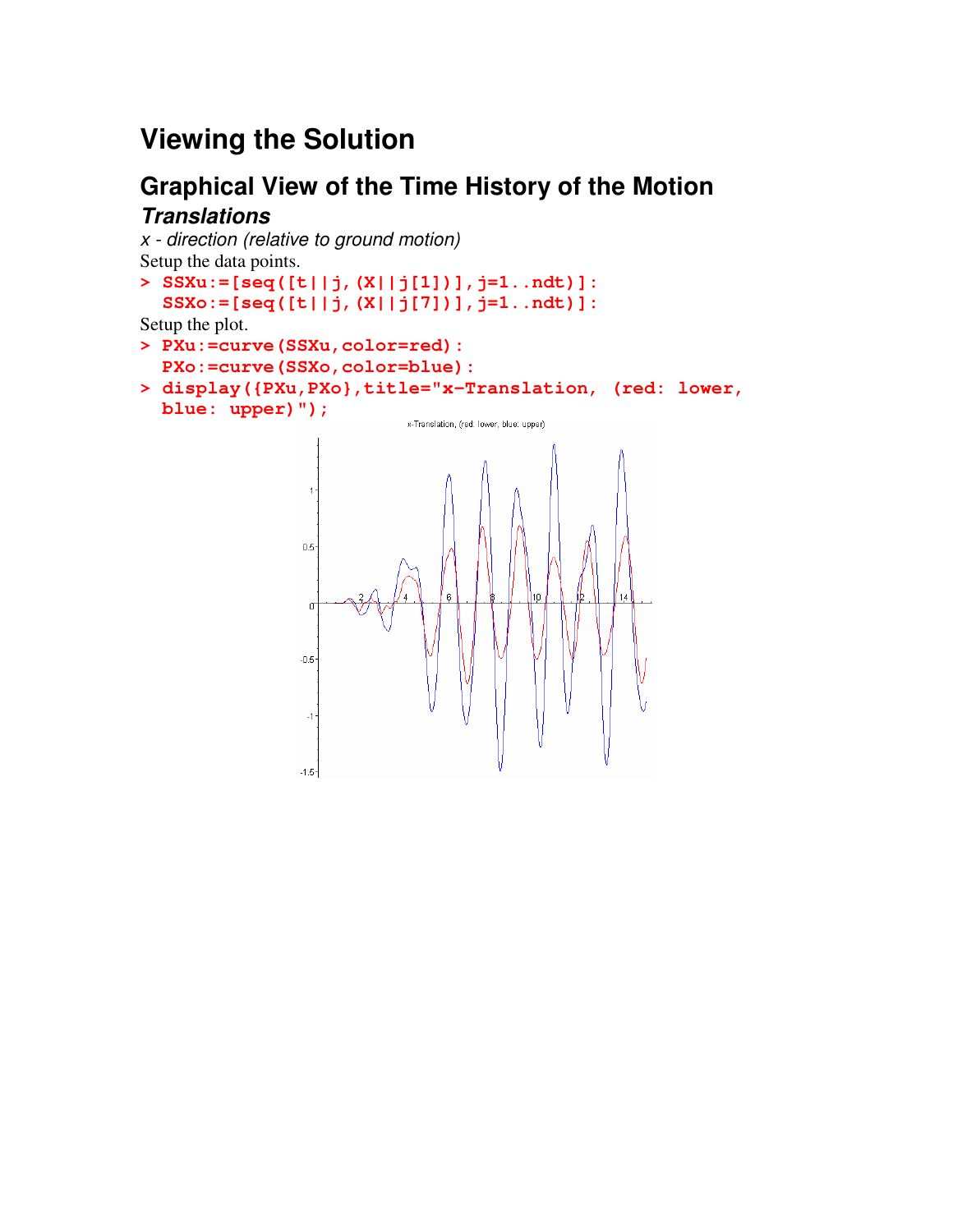# **Viewing the Solution**

### **Graphical View of the Time History of the Motion** *Translations*

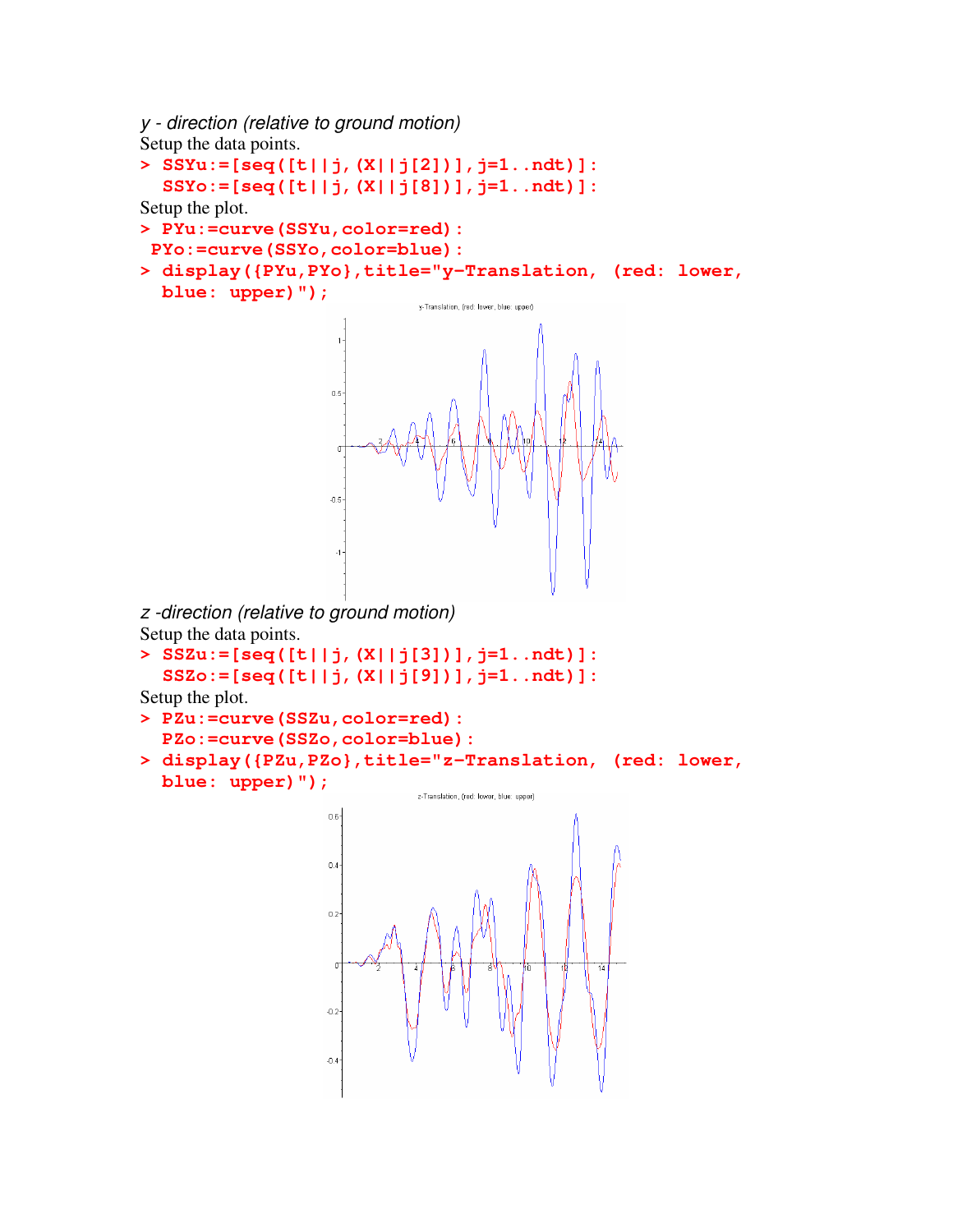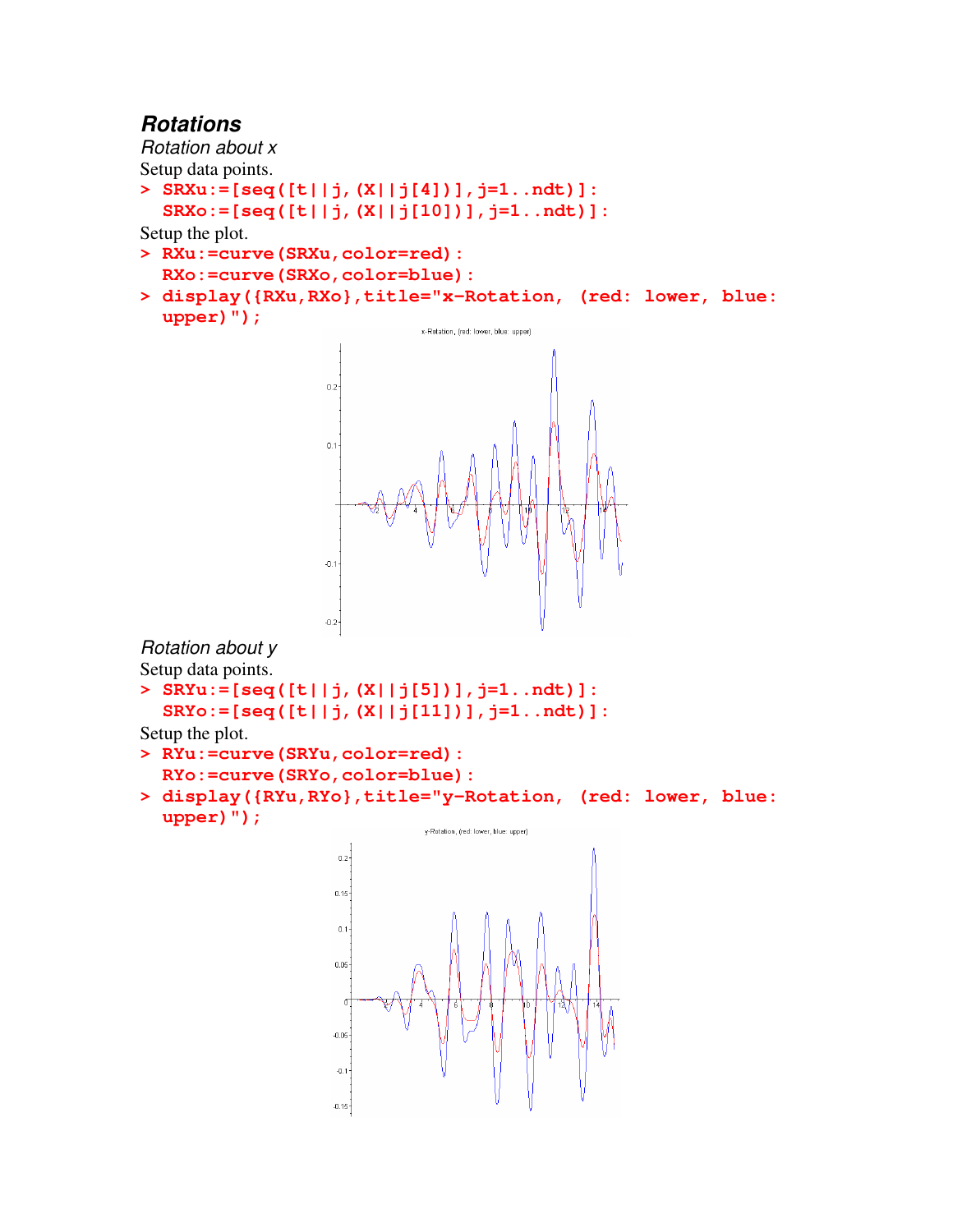### *Rotations*

*Rotation about x*

Setup data points.

- **> SRXu:=[seq([t||j,(X||j[4])],j=1..ndt)]:**
- **SRXo:=[seq([t||j,(X||j[10])],j=1..ndt)]:**

Setup the plot.

- **> RXu:=curve(SRXu,color=red): RXo:=curve(SRXo,color=blue):**
- **> display({RXu,RXo},title="x-Rotation, (red: lower, blue: upper)");**



*Rotation about y* Setup data points.

**> SRYu:=[seq([t||j,(X||j[5])],j=1..ndt)]: SRYo:=[seq([t||j,(X||j[11])],j=1..ndt)]:**

Setup the plot.

- **> RYu:=curve(SRYu,color=red):**
- **RYo:=curve(SRYo,color=blue):**
- **> display({RYu,RYo},title="y-Rotation, (red: lower, blue: upper)");**

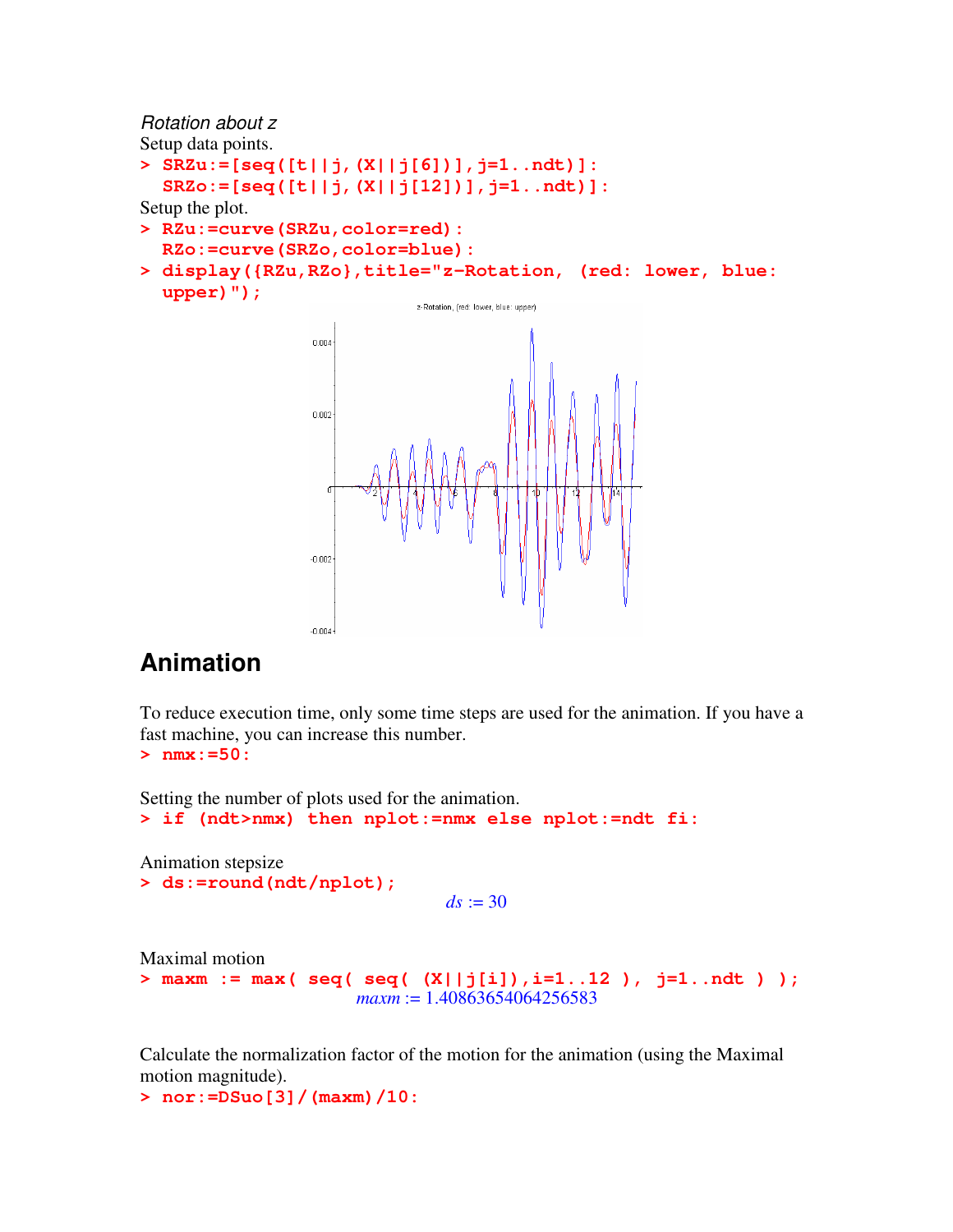*Rotation about z* Setup data points. **> SRZu:=[seq([t||j,(X||j[6])],j=1..ndt)]: SRZo:=[seq([t||j,(X||j[12])],j=1..ndt)]:** Setup the plot. **> RZu:=curve(SRZu,color=red): RZo:=curve(SRZo,color=blue): > display({RZu,RZo},title="z-Rotation, (red: lower, blue: upper)");** z-Rotation, (red: lower, blue; upper)



# **Animation**

To reduce execution time, only some time steps are used for the animation. If you have a fast machine, you can increase this number.

**> nmx:=50:**

Setting the number of plots used for the animation.

```
> if (ndt>nmx) then nplot:=nmx else nplot:=ndt fi:
```
Animation stepsize **> ds:=round(ndt/nplot);**

```
ds := 30
```
Maximal motion

```
> maxm := max( seq( seq( (X||j[i]),i=1..12 ), j=1..ndt ) );
                    maxm := 1.40863654064256583
```
Calculate the normalization factor of the motion for the animation (using the Maximal motion magnitude).

```
> nor:=DSuo[3]/(maxm)/10:
```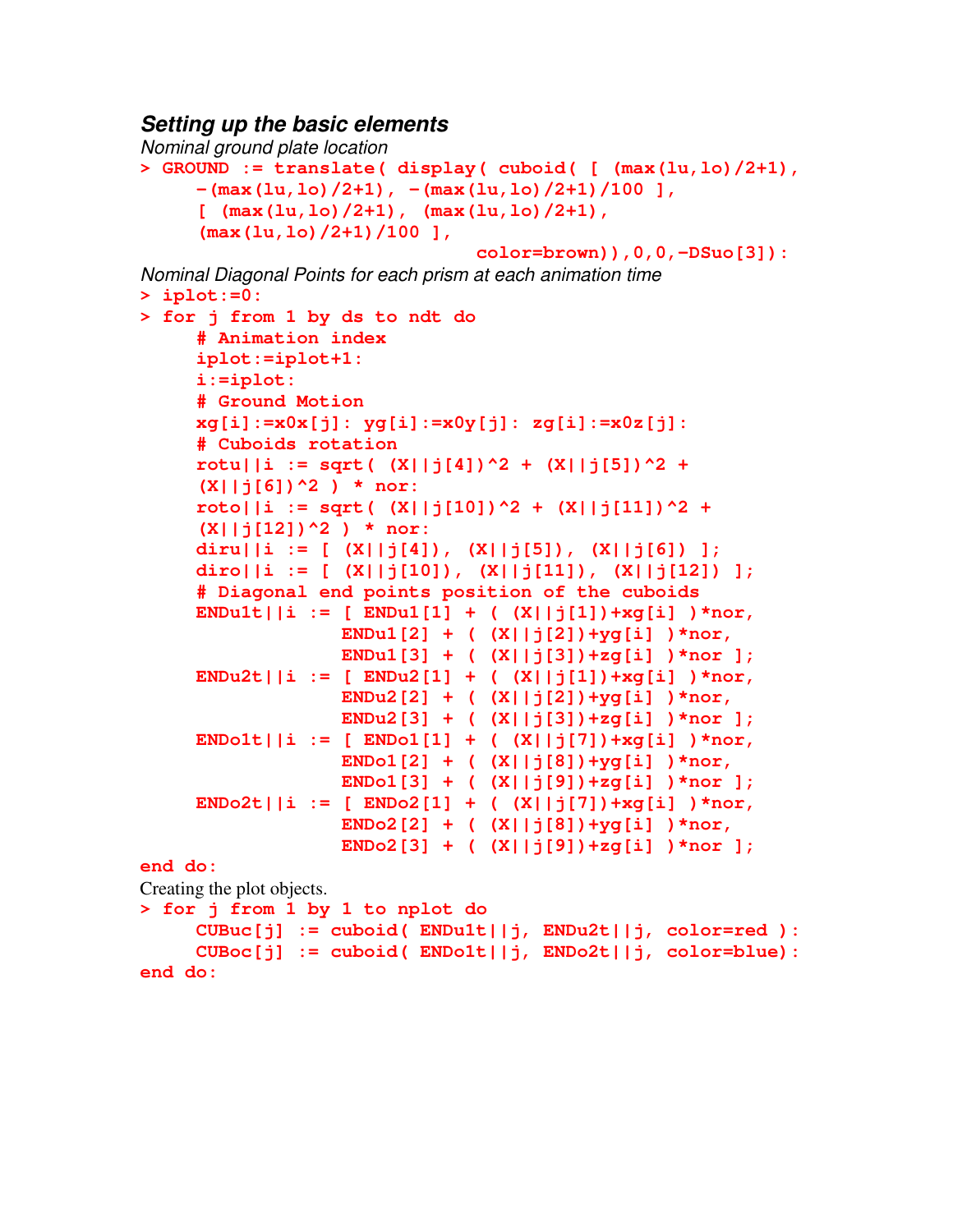#### *Setting up the basic elements*

```
Nominal ground plate location
> GROUND := translate( display( cuboid( [ (max(lu,lo)/2+1),
     -(max(lu,lo)/2+1), -(max(lu,lo)/2+1)/100 ],
     [ (max(lu,lo)/2+1), (max(lu,lo)/2+1),
     (max(lu,lo)/2+1)/100 ],
                               color=brown)),0,0,-DSuo[3]):
Nominal Diagonal Points for each prism at each animation time
> iplot:=0:
> for j from 1 by ds to ndt do
     # Animation index
     iplot:=iplot+1:
     i:=iplot:
     # Ground Motion
     xg[i]:=x0x[j]: yg[i]:=x0y[j]: zg[i]:=x0z[j]:
     # Cuboids rotation
     rotu||i := sqrt( (X||j[4])^2 + (X||j[5])^2 +
     (X||j[6])^2 ) * nor:
     roto||i := sqrt([X||j[10])^2 + (X||j[11])^2 +(X||j[12])^2 ) * nor:
     diru||i := [ (X||j[4]), (X||j[5]), (X||j[6]) ];
     diro||i := [ (X||j[10]), (X||j[11]), (X||j[12]) ];
     # Diagonal end points position of the cuboids
     ENDu1t||i := [ ENDu1[1] + ( (X||j[1])+xg[i] )*nor,
                  ENDu1[2] + ( (X||j[2])+yg[i] )*nor,
                  ENDu1[3] + ( (X||j[3])+zg[i] )*nor ];
     ENDu2t||i := [ ENDu2[1] + ( (X||j[1])+xg[i] )*nor,
                  ENDu2[2] + ( (X||j[2])+yg[i] )*nor,
                  ENDu2[3] + ( (X||j[3])+zg[i] )*nor ];
     ENDo1t||i := [ ENDo1[1] + ( (X||j[7])+xg[i] )*nor,
                  ENDo1[2] + ( (X||j[8])+yg[i] )*nor,
                  ENDo1[3] + ( (X||j[9])+zg[i] )*nor ];
     ENDo2t||i := [ ENDo2[1] + ( (X||j[7])+xg[i] )*nor,
                  ENDo2[2] + ( (X||j[8])+yg[i] )*nor,
                  ENDo2[3] + ( (X||j[9])+zg[i] )*nor ];
end do:
Creating the plot objects.
> for j from 1 by 1 to nplot do
     CUBuc[j] := cuboid( ENDu1t||j, ENDu2t||j, color=red ):
     CUBoc[j] := cuboid( ENDo1t||j, ENDo2t||j, color=blue):
end do:
```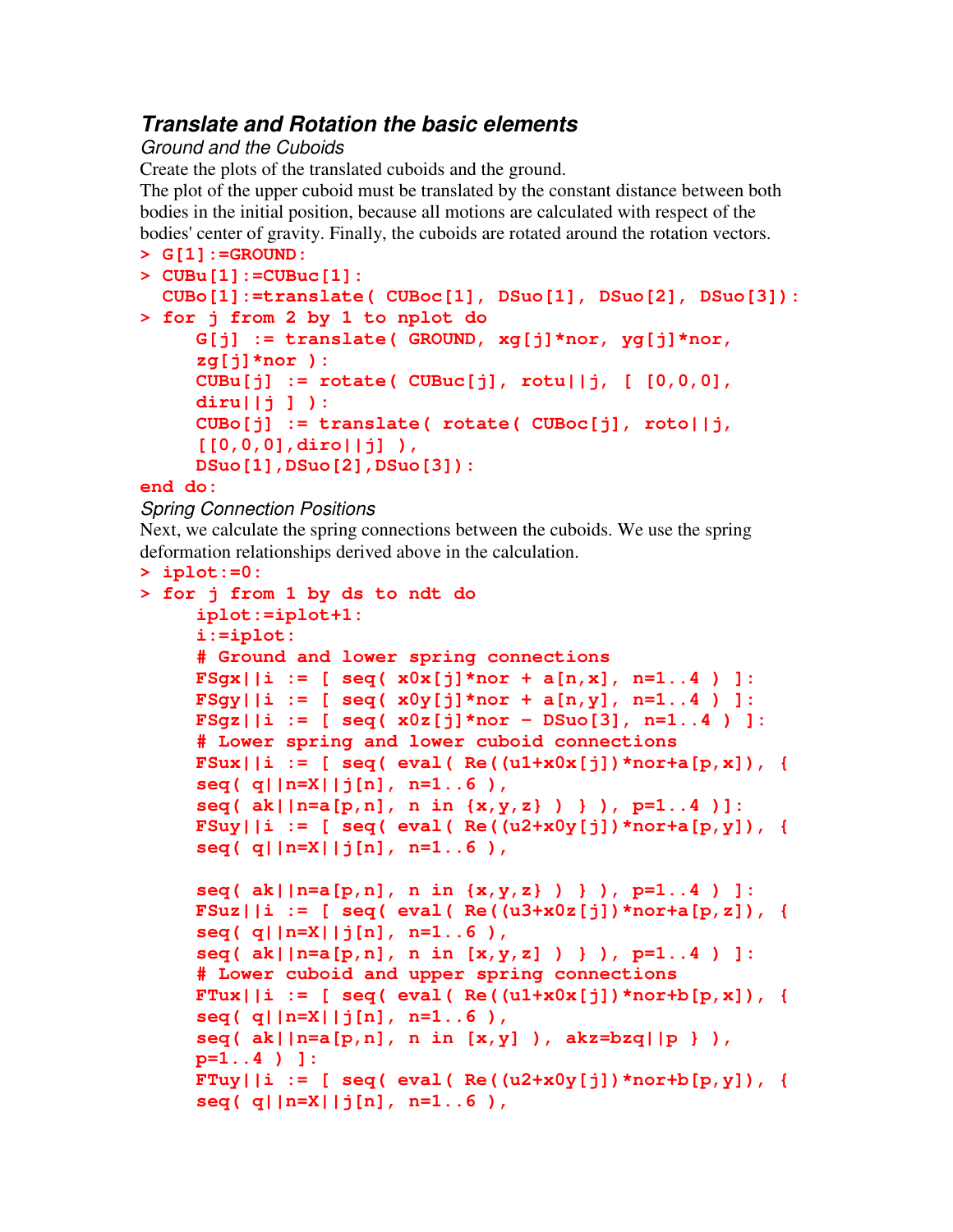### *Translate and Rotation the basic elements*

#### *Ground and the Cuboids*

Create the plots of the translated cuboids and the ground.

The plot of the upper cuboid must be translated by the constant distance between both bodies in the initial position, because all motions are calculated with respect of the bodies' center of gravity. Finally, the cuboids are rotated around the rotation vectors.

```
> G[1]:=GROUND:
> CUBu[1]:=CUBuc[1]:
  CUBo[1]:=translate( CUBoc[1], DSuo[1], DSuo[2], DSuo[3]):
> for j from 2 by 1 to nplot do
    G[j] := translate( GROUND, xg[j]*nor, yg[j]*nor,
     zg[j]*nor ):
     CUBu[j] := rotate( CUBuc[j], rotu||j, [ [0,0,0],
     diru||j ] ):
    CUBo[j] := translate( rotate( CUBoc[j], roto||j,
     [[0,0,0],diro||j] ),
    DSuo[1],DSuo[2],DSuo[3]):
```
#### **end do:**

#### *Spring Connection Positions*

Next, we calculate the spring connections between the cuboids. We use the spring deformation relationships derived above in the calculation.

```
> iplot:=0:
> for j from 1 by ds to ndt do
      iplot:=iplot+1:
      i:=iplot:
      # Ground and lower spring connections
      FSgx||i := [ seq( x0x[j]*nor + a[n,x], n=1..4 ) ]:
      FSgy||i := [ seq( x0y[j]*nor + a[n,y], n=1..4 ) ]:
      FSgz||i := [ seq( x0z[j]*nor - DSuo[3], n=1..4 ) ]:
      # Lower spring and lower cuboid connections
      \textbf{FSux}||i := [ \textbf{seq} ( \textbf{eval} ( \textbf{Re} ( \textbf{u1+x0x}[j] ) *nor+a[p, x]), {
      seq( q||n=X||j[n], n=1..6 ),
      seq( ak||n=a[p,n], n in {x,y,z} ) } ), p=1..4 )]:
      \text{FSuy} \mid i := [ \text{seq}(\text{eval}(\text{Re}((u2+x0y[j]) * \text{nor} + a[p, y]), \text{Re}((u2+x0y[j]) * \text{or} + a[p, y]) ] )seq( q||n=X||j[n], n=1..6 ),
      seq( ak||n=a[p,n], n in {x,y,z} ) } ), p=1..4 ) ]:
      FSuz \mid |i := [seq(\text{eval}(\text{Re}((u3+x0z[j]) * nor+a[p,z])), {
      seq( q||n=X||j[n], n=1..6 ),
      seq( ak||n=a[p,n], n in [x,y,z] ) } ), p=1..4 ) ]:
      # Lower cuboid and upper spring connections
      \textbf{FTux} \mid \textbf{i} := [ \text{ seq} (\text{ eval} (\text{Re}(\text{u1+x0x}[j]) * \text{nor} + \text{b}[p, x]),seq( q||n=X||j[n], n=1..6 ),
      seq( ak||n=a[p,n], n in [x,y] ), akz=bzq||p } ),
      p=1..4 ) ]:
      F \text{Tuy} \mid i := [ \text{seq}(\text{eval}(\text{Re}((u2+x0y[i]))*n^{\text{ord}(\text{tr})}, y]),seq( q||n=X||j[n], n=1..6 ),
```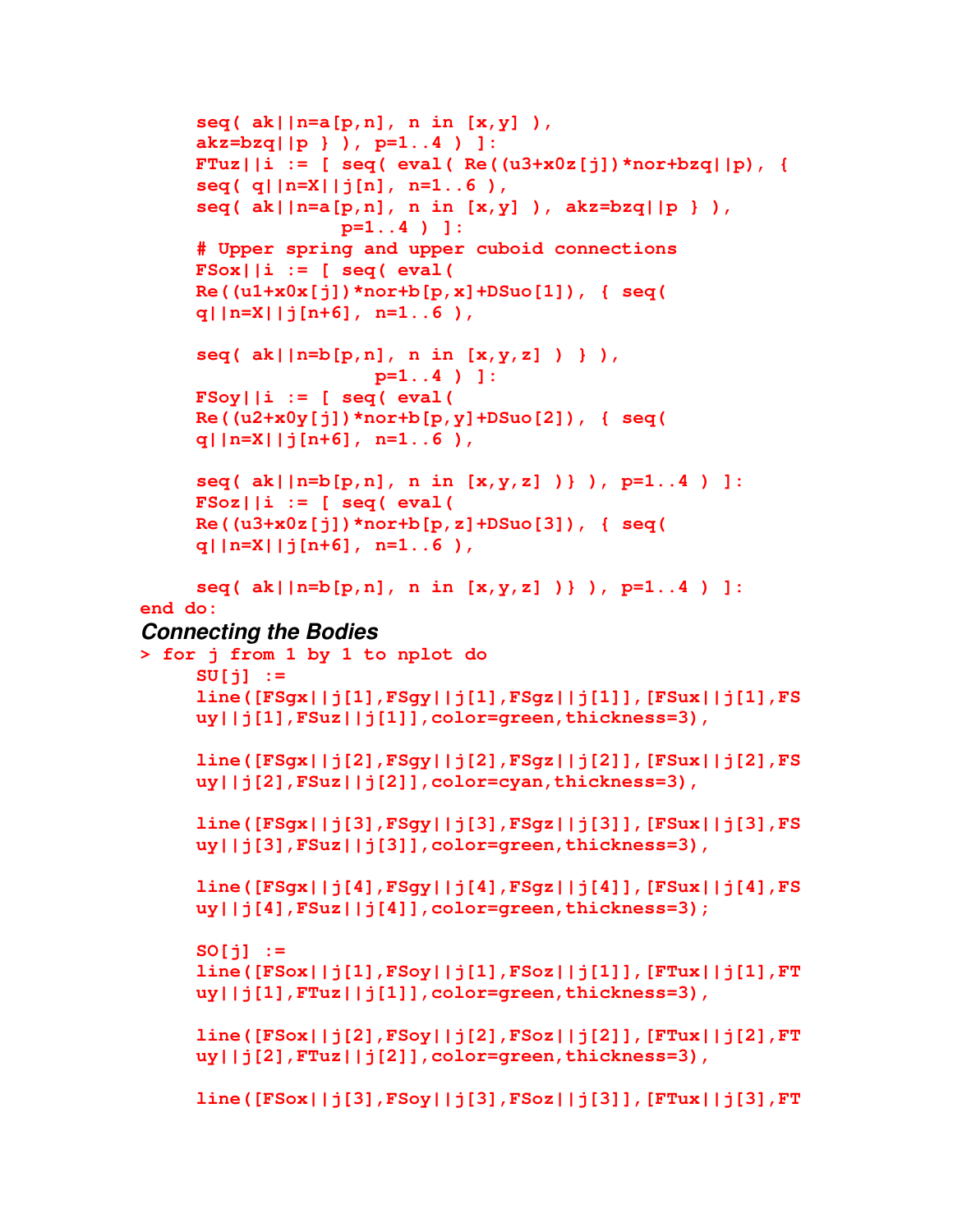```
seq( ak||n=a[p,n], n in [x,y] ),
akz=bzq||p } ), p=1..4 ) ]:
FTuz||i := [ seq( eval( Re((u3+x0z[j])*nor+bzq||p), {
seq( q||n=X||j[n], n=1..6 ),
seq( ak||n=a[p,n], n in [x,y] ), akz=bzq||p } ),
             p=1..4 ) ]:
# Upper spring and upper cuboid connections
FSox||i := [ seq( eval(
Re((u1+x0x[j])*nor+b[p,x]+DSuo[1]), { seq(
q||n=X||j[n+6], n=1..6 ),
seq( ak||n=b[p,n], n in [x,y,z] ) } ),
                p=1..4 ) ]:
FSoy||i := [ seq( eval(
Re((u2+x0y[j])*nor+b[p,y]+DSuo[2]), { seq(
q||n=X||j[n+6], n=1..6 ),
seq( ak||n=b[p,n], n in [x,y,z] )} ), p=1..4 ) ]:
FSoz||i := [ seq( eval(
Re((u3+x0z[j])*nor+b[p,z]+DSuo[3]), { seq(
q||n=X||j[n+6], n=1..6 ),
```

```
seq( ak||n=b[p,n], n in [x,y,z] )} ), p=1..4 ) ]:
end do:
```
#### *Connecting the Bodies*

```
> for j from 1 by 1 to nplot do
    SU[j] :=
     line([FSgx||j[1],FSgy||j[1],FSgz||j[1]],[FSux||j[1],FS
    uy||j[1],FSuz||j[1]],color=green,thickness=3),
     line([FSgx||j[2],FSgy||j[2],FSgz||j[2]],[FSux||j[2],FS
    uy||j[2],FSuz||j[2]],color=cyan,thickness=3),
     line([FSgx||j[3],FSgy||j[3],FSgz||j[3]],[FSux||j[3],FS
    uy||j[3],FSuz||j[3]],color=green,thickness=3),
     line([FSgx||j[4],FSgy||j[4],FSgz||j[4]],[FSux||j[4],FS
    uy||j[4],FSuz||j[4]],color=green,thickness=3);
    SO[j] :=
    line([FSox||j[1],FSoy||j[1],FSoz||j[1]],[FTux||j[1],FT
    uy||j[1],FTuz||j[1]],color=green,thickness=3),
     line([FSox||j[2],FSoy||j[2],FSoz||j[2]],[FTux||j[2],FT
    uy||j[2],FTuz||j[2]],color=green,thickness=3),
     line([FSox||j[3],FSoy||j[3],FSoz||j[3]],[FTux||j[3],FT
```